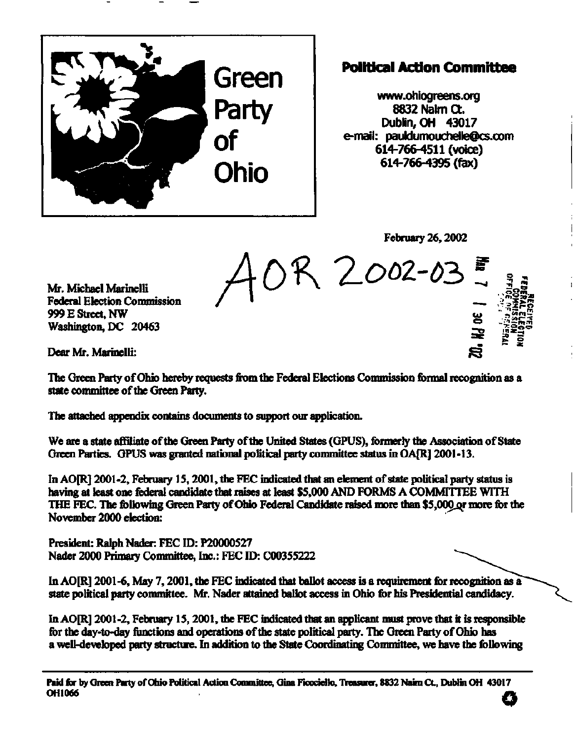

## **Political Action Committee**

**[www.ohiogreens.org](http://www.ohiogreens.org)  8832 Nalm Ct. Dublin, OH 43017 e-mail: [pauidumouchelle@cs.com](mailto:pauidumouchelle@cs.com) 614-766-4511 (voice) 614-766-4395 (fax)** 

**February 26,2002** 

**u»** 

**" <sup>v</sup> '3ni <sup>r</sup> <sup>n</sup>**

iyu∃∲<br>•folio#<br>•folio#<br>¤folio#

 $\bar{\mathbf{N}}$ 

*Ab^T-Ooz-vbl* 

**Mr. Michael Marinelli Federal Election Commission 999 E Street, NW Washington, DC 20463** 

**Dear Mr. Marinelli:** 

**The Green Party of Ohio hereby requests from the Federal Elections Commission formal recognition as a state committee of the Green Party.** 

**The attached appendix contains documents to support our application.** 

**We are a state affiliate of the Green Party of the United States (GPUS), formerly the Association of State**  Green Parties. GPUS was granted national political party committee status in OA[R] 2001-13.

**In AO[R] 2001-2, February IS, 2001, the FEC indicated that an element of state political party status is having at least one federal candidate that raises at least \$5,000 AND FORMS A COMMITTEE WITH**  THE FEC. The following Green Party of Ohio Federal Candidate raised more than \$5,000 or more for the **November 2000 election:** 

**President: Ralph Nader: FEC ID: P20000527 Nader 2000 Primary Committee, Inc.: FEC ID: C00355222** 

In AO[R] 2001-6, May 7, 2001, the FEC indicated that ballot access is a requirement for recognition as a **state political party committee. Mr. Nader attained ballot access in Ohio for his Presidential candidacy.** 

**In AO[R] 2001-2, February IS, 2001, the FEC indicated that an applicant must prove that it is responsible for the day-to-day functions and operations of the state political party. The Green Party of Ohio has a well-developed party structure. In addition to the State Coordinating Committee, we have the following** 

**Paid for by Green Party of Ohio Political Action Committee, Gina Ficoridlo, Treasurer, 8832 Nairn Ct, Dublin OH 43017 OH1066 <b>C**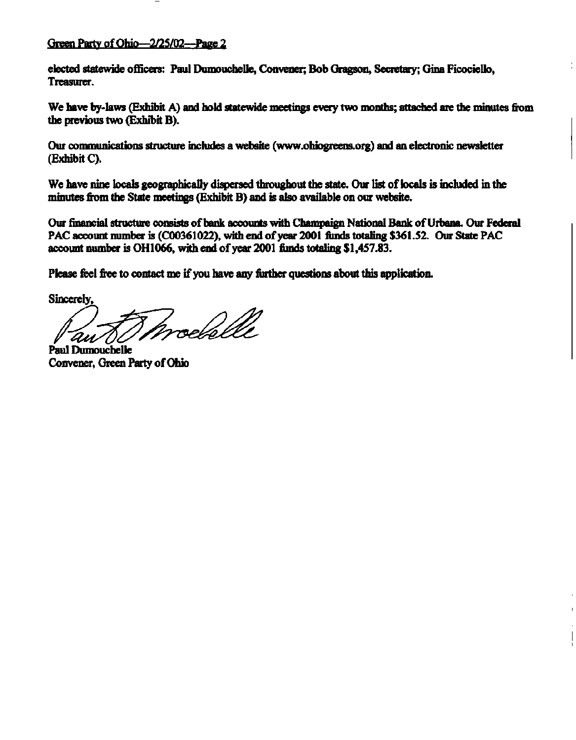### **Green Party of Ohio—2/25/02—Page 2**

**elected statewide officers: Paul Dumouchelle, Convener; Bob Gragson, Secretary; Gina Ficociello, Treasurer.** 

**We have by-laws (Exhibit A) and hold statewide meetings every two months; attached are the minutes from the previous two (Exhibit B).** 

**Our communications structure includes a website [\(www.ohiogreens.org\)](http://www.ohiogreens.org) and an electronic newsletter (Exhibit C).** 

**We have nine locals geographically dispersed throughout the state. Our list of locals is included in the minutes from the State meetings (Exhibit B) and is also available on our website.** 

**Our financial structure consists of bank accounts with Champaign National Bank of Urbana. Our Federal PAC account number is (C00361022), with end of year 2001 funds totaling \$361.52. Our State PAC account number is OH 1066, with end of year 2001 funds totaling \$1,457.83.** 

**Please feel free to contact me if you have any further questions about this application.** 

**Sincerely,** 

medslle

**Paul Dumouchelle Convener, Green Party of Ohio**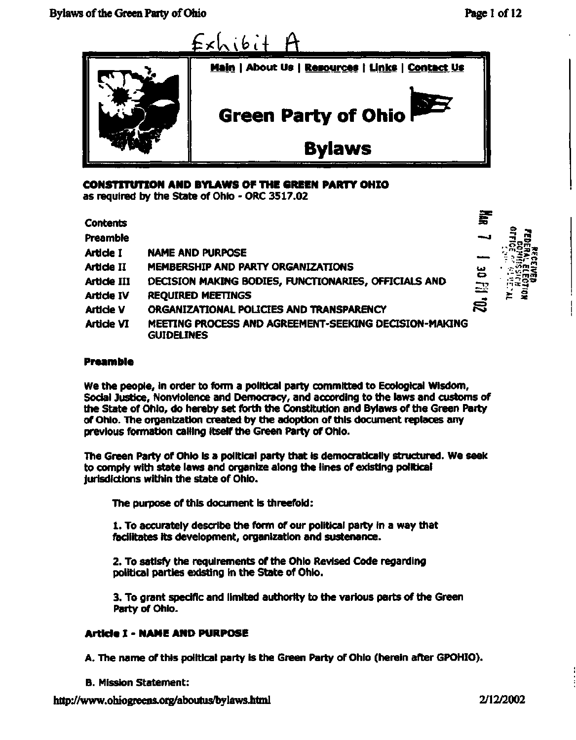

**CONSTITUTION AND BYLAWS OF THE GREEN PARTY OHIO**  as required by the State of Ohio - ORC 3517.02

**Contents Preamble Article I Article II Article III Article IV Article V Article VI**  NAME AND PURPOSE MEMBERSHIP AND PARTY ORGANIZATIONS DECISION MAKING BODIES, FUNCTIONARIES, OFFICIALS AND REQUIRED MEETINGS ^ ORGANIZATIONAL POLICIES AND TRANSPARENCY MEETING PROCESS AND AGREEMENT-SEEKING DECISION-MAKING GUIDELINES



#### **Preamble**

We the people, in order to form a political party committed to Ecological Wisdom, Social Justice, Nonviolence and Democracy, and according to the laws and customs of the State of Ohio, do hereby set forth the Constitution and Bylaws of the Green Party of Ohio. The organization created by the adoption of this document replaces any previous formation calling itself the Green Party of Ohio.

The Green Party of Ohio is a political party that is democratically structured. We seek to comply with state laws and organize along the lines of existing politicai jurisdictions within the state of Ohio.

The purpose of this document is threefold:

1. To accurately describe the form of our political party in a way that facilitates its development, organization and sustenance.

2. To satisfy the requirements of the Ohio Revised Code regarding political parties existing in the State of Ohio.

3. To grant specific and limited authority to the various parts of the Green Party of Ohio.

#### **Article I - NAME AND PURPOSE**

A. The name of this political party is the Green Party of Ohio (herein after GPOHIO).

**B. Mission Statement:** 

**<http://www.obiogreens.org/aboutus/bylaws.html>2/12/2002**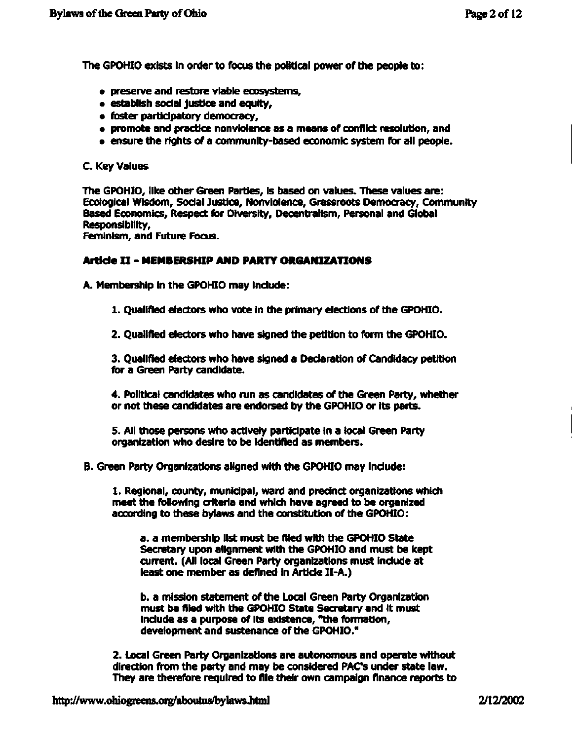The GPOHIO exists in order to focus the political power of the people to:

- preserve and restore viable ecosystems,
- establish social justice and equity,
- foster participatory democracy,
- promote and practice nonviolence as a means of conflict resolution, and
- ensure the rights of a community-based economic system for all people.

#### C. Key Values

The GPOHIO, like other Green Parties, is based on values. These values are: Ecological Wisdom, Social Justice, Nonviolence, Grassroots Democracy, Community Based Economics, Respect for Diversity, Decentralism, Personal and Global Responsibility,

Feminism, and Future Focus.

#### **Article I I - MEMBERSHIP AND PARTY ORGANIZATIONS**

A. Membership in the GPOHIO may include:

- 1. Qualified electors who vote in the primary elections of the GPOHIO.
- 2. Qualified electors who have signed the petition to form the GPOHIO.

3. Qualified electors who have signed a Declaration of Candidacy petition for a Green Party candidate.

4. Political candidates who run as candidates of the Green Party, whether or not these candidates are endorsed by the GPOHIO or its parts.

5. All those persons who actively participate in a local Green Party organization who desire to be identified as members.

B. Green Party Organizations aligned with the GPOHIO may include:

1. Regional, county, municipal, ward and precinct organizations which meet the following criteria and which have agreed to be organized according to these bylaws and the constitution of the GPOHIO:

a. a membership list must be filed with the GPOHIO State Secretary upon alignment with the GPOHIO and must be kept current. (All local Green Party organizations must include at least one member as defined in Article II-A.)

b. a mission statement of the Local Green Party Organization must be filed with the GPOHIO State Secretary and it must include as a purpose of its existence, "the formation, development and sustenance of the GPOHIO."

2. Local Green Party Organizations are autonomous and operate without direction from the party and may be considered PACs under state law. They are therefore required to file their own campaign finance reports to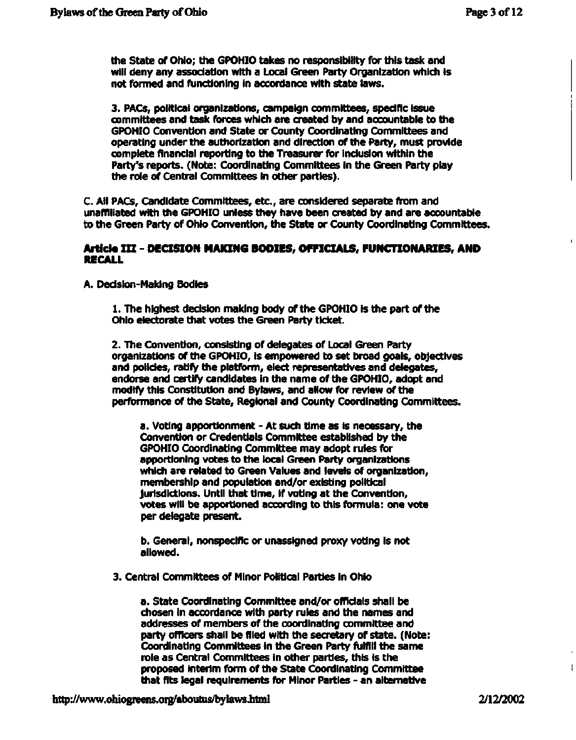the State of Ohio; the GPOHIO takes no responsibility for this task and will deny any association with a Local Green Party Organization which is not formed and functioning in accordance with state laws.

3. PACs, political organizations, campaign committees, specific issue committees and task forces which are created by and accountable to the GPOHIO Convention and State or County Coordinating Committees and operating under the authorization and direction of the Party, must provide complete financial reporting to the Treasurer for inclusion within the Party's reports. (Note: Coordinating Committees in the Green Party play the role of Central Committees in other parties).

C. All PACs, Candidate Committees, etc., are considered separate from and unaffiliated with the GPOHIO unless they have been created by and are accountable to the Green Party of Ohio Convention, the State or County Coordinating Committees.

#### **Article II I - DECISION MAKING BODIES, OFFICIALS, FUNCTIONARIES, AND RECALL**

A. Decision-Making Bodies

1. The highest decision making body of the GPOHIO is the part of the Ohio electorate that votes the Green Party ticket.

2. The Convention, consisting of delegates of Local Green Party organizations of the GPOHIO, is empowered to set broad goals, objectives and policies, ratify the platform, elect representatives and delegates, endorse and certify candidates in the name of the GPOHIO, adopt and modify this Constitution and Bylaws, and allow for review of the performance of the State, Regional and County Coordinating Committees.

a. Voting apportionment - At such time as is necessary, the Convention or Credentials Committee established by the GPOHIO Coordinating Committee may adopt rules for apportioning votes to the local Green Party organizations which are related to Green Values and levels of organization, membership and population and/or existing political jurisdictions. Until that time, if voting at the Convention, votes will be apportioned according to this formula: one vote per delegate present.

b. General, nonspecific or unassigned proxy voting is not allowed.

3. Central Committees of Minor Political Parties in Ohio

a. State Coordinating Committee and/or officials shall be chosen in accordance with party rules and the names and addresses of members of the coordinating committee and party officers shall be filed with the secretary of state. (Note: Coordinating Committees in the Green Party fulfill the same role as Central Committees in other parties, this is the proposed interim form of the State Coordinating Committee that fits legal requirements for Minor Parties - an alternative

Ł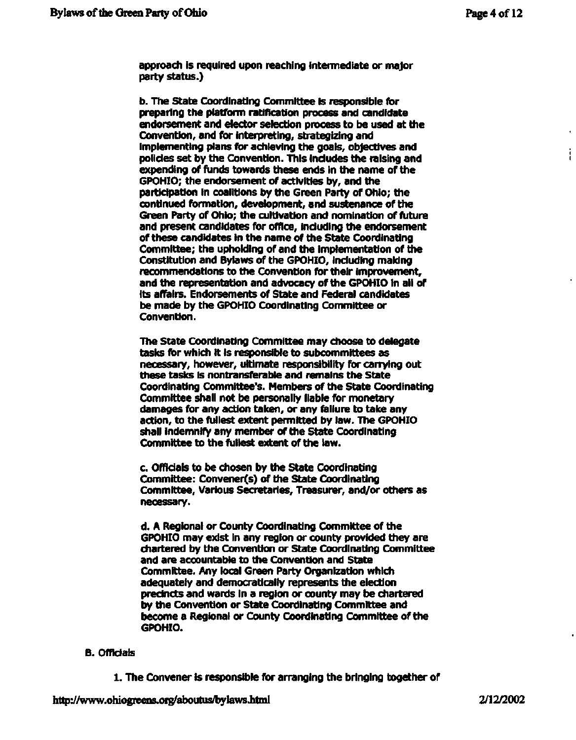**approach is required upon reaching intermediate or major party status.)** 

**b. The State Coordinating Committee is responsible for preparing the platform ratification process and candidate endorsement and elector selection process to be used at the Convention, and for interpreting, strategizing and implementing plans for achieving the goals, objectives and policies set by the Convention. This includes the raising and expending of funds towards these ends in the name of the GPOHIO; the endorsement of activities by, and the participation in coalitions by the Green Party of Ohio; the continued formation, development, and sustenance of the Green Party of Ohio; the cultivation and nomination of future and present candidates for office, including the endorsement of these candidates in the name of the State Coordinating Committee; the upholding of and the implementation of the Constitution and Bylaws of the GPOHIO, including making recommendations to the Convention for their improvement, and the representation and advocacy of the GPOHIO in all of its affairs. Endorsements of State and Federal candidates be made by the GPOHIO Coordinating Committee or Convention.** 

**The State Coordinating Committee may choose to delegate tasks for which it is responsible to subcommittees as necessary, however, ultimate responsibility for carrying out these tasks is nontransferable and remains the State Coordinating Committee's. Members of the State Coordinating Committee shall not be personally liable for monetary damages for any action taken, or any failure to take any action, to the fullest extent permitted by law. The GPOHIO shall indemnify any member of the State Coordinating Committee to the fullest extent of the law.** 

**c. Officials to be chosen by the State Coordinating Committee: Convener(s) of the State Coordinating Committee, Various Secretaries, Treasurer, and/or others as necessary.** 

**d. A Regional or County Coordinating Committee of the GPOHIO may exist in any region or county provided they are chartered by the Convention or State Coordinating Committee and are accountable to the Convention and State Committee. Any local Green Party Organization which adequately and democratically represents the election precincts and wards in a region or county may be chartered by the Convention or State Coordinating Committee and become a Regional or County Coordinating Committee of the GPOHIO.** 

#### **B. Officials**

**1. The Convener is responsible for arranging the bringing together of**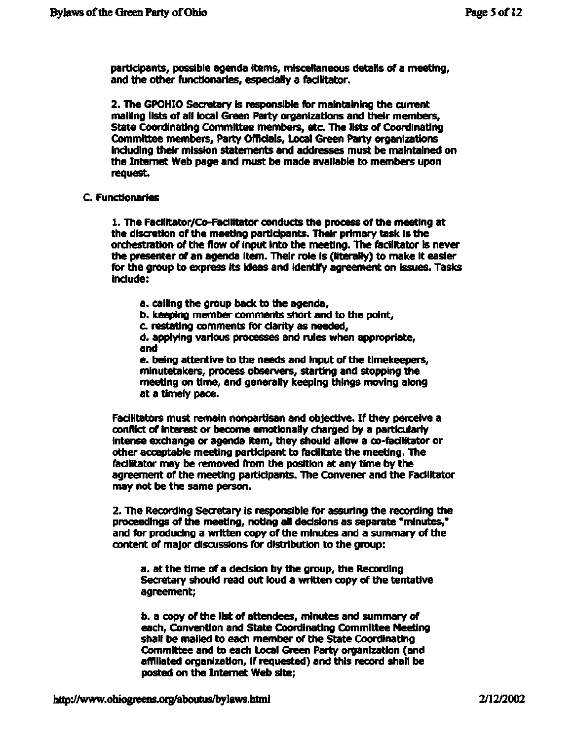**participants, possible agenda items, miscellaneous details of a meeting, and the other functionaries, especially a facilitator.** 

**2. The GPOHIO Secretary is responsible for maintaining the current mailing lists of all local Green Party organizations and their members, State Coordinating Committee members, etc. The lists of Coordinating Committee members. Party Officials, Local Green Party organizations including their mission statements and addresses must be maintained on the Internet Web page and must be made available to members upon request.** 

#### **C. Functionaries**

**1. The Facilitator/Co-Facilitator conducts the process of the meeting at the discretion of the meeting participants. Their primary task is the orchestration of the flow of input into the meeting. The facilitator is never the presenter of an agenda item. Their role is (literally) to make it easier for the group to express its ideas and identify agreement on issues. Tasks include:** 

- **a. calling the group back to the agenda,**
- **b. keeping member comments short and to the point,**
- **c. restating comments for clarity as needed,**

**d. applying various processes and rules when appropriate, and** 

**e. being attentive to the needs and input of the timekeepers, minutetakers, process observers, starting and stopping the meeting on time, and generally keeping things moving along at a timely pace.** 

**Facilitators must remain nonpartisan and objective. If they perceive a conflict of interest or become emotionally charged by a particularly intense exchange or agenda item, they should allow a co-fadlitator or other acceptable meeting participant to facilitate the meeting. The facilitator may be removed from the position at any time by the agreement of the meeting participants. The Convener and the Facilitator may not be the same person.** 

**2. The Recording Secretary is responsible for assuring the recording the proceedings of the meeting, noting all decisions as separate "minutes," and for producing a written copy of the minutes and a summary of the content of major discussions for distribution to the group:** 

**a. at the time of a decision by the group, the Recording Secretary should read out loud a written copy of the tentative agreement;** 

**b. a copy of the list of attendees, minutes and summary of each, Convention and State Coordinating Committee Meeting shall be mailed to each member of the State Coordinating Committee and to each Local Green Party organization (and affiliated organization, if requested) and this record shall be posted on the Internet Web site;**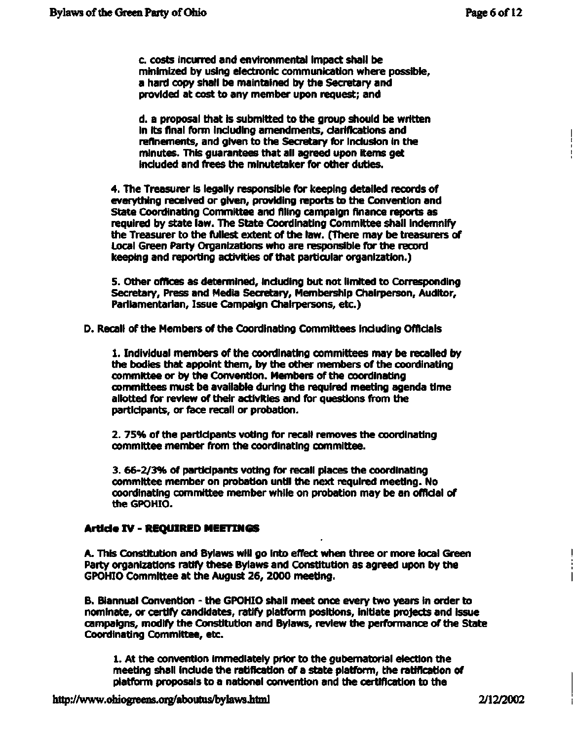c. costs incurred and environmental impact shall be minimized by using electronic communication where possible, a hard copy shall be maintained by the Secretary and provided at cost to any member upon request; and

d. a proposal that is submitted to the group should be written in its final form including amendments, clarifications and refinements, and given to the Secretary for inclusion in the minutes. This guarantees that all agreed upon items get included and frees the minutetaker for other duties.

4. The Treasurer is legally responsible for keeping detailed records of everything received or given, providing reports to the Convention and State Coordinating Committee and filing campaign finance reports as required by state law. The State Coordinating Committee shall indemnify the Treasurer to the fullest extent of the law. (There may be treasurers of Local Green Party Organizations who are responsible for the record keeping and reporting activities of that particular organization.)

5. Other offices as determined, including but not limited to Corresponding Secretary, Press and Media Secretary, Membership Chairperson, Auditor, Parliamentarian, Issue Campaign Chairpersons, etc.)

D. Recall of the Members of the Coordinating Committees including Officials

1. Individual members of the coordinating committees may be recalled by the bodies that appoint them, by the other members of the coordinating committee or by the Convention. Members of the coordinating committees must be available during the required meeting agenda time allotted for review of their activities and for questions from the participants, or face recall or probation.

2. 75% of the participants voting for recall removes the coordinating committee member from the coordinating committee.

3. 66-2/3% of participants voting for recall places the coordinating committee member on probation until the next required meeting. No coordinating committee member while on probation may be an official of the GPOHIO.

#### **Article IV - REQUIRED MEETINGS**

A. This Constitution and Bylaws will go into effect when three or more local Green Party organizations ratify these Bylaws and Constitution as agreed upon by the GPOHIO Committee at the August 26, 2000 meeting.

B. Biannual Convention - the GPOHIO shall meet once every two years in order to nominate, or certify candidates, ratify platform positions, initiate projects and issue campaigns, modify the Constitution and Bylaws, review the performance of the State Coordinating Committee, etc.

1. At the convention immediately prior to the gubernatorial election the meeting shall include the ratification of a state platform, the ratification of platform proposals to a national convention and the certification to the

ı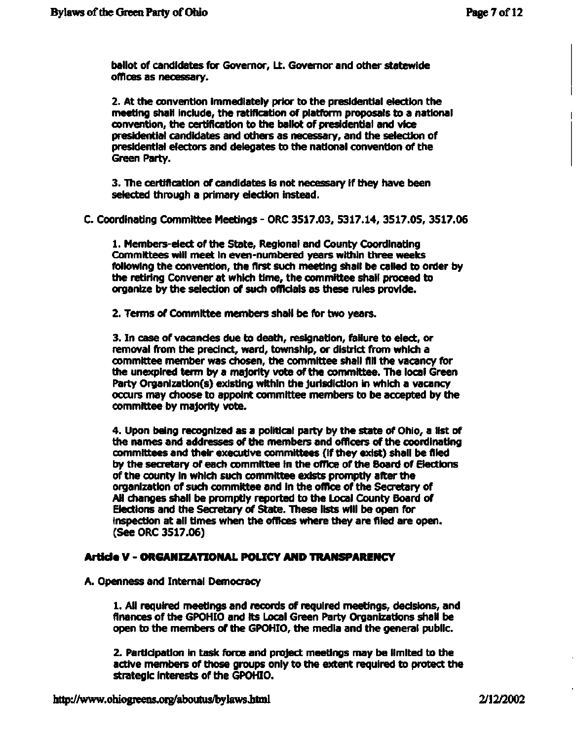ballot of candidates for Governor, Lt. Governor and other statewide offices as necessary.

2. At the convention immediately prior to the presidential election the meeting shall include, the ratification of platform proposals to a national convention, the certification to the ballot of presidential and vice presidential candidates and others as necessary, and the selection of presidential electors and delegates to the national convention of the Green Party.

3. The certification of candidates is not necessary if they have been selected through a primary election instead.

C. Coordinating Committee Meetings - ORC 3517.03, 5317.14, 3517.05, 3517.06

1. Members-elect of the State, Regional and County Coordinating Committees will meet in even-numbered years within three weeks following the convention, the first such meeting shall be called to order by the retiring Convener at which time, the committee shall proceed to organize by the selection of such officials as these rules provide.

2. Terms of Committee members shall be for two years.

3. In case of vacancies due to death, resignation, failure to elect, or removal from the precinct, ward, township, or district from which a committee member was chosen, the committee shall All the vacancy for the unexpired term by a majority vote of the committee. The local Green Party Organization(s) existing within the jurisdiction in which a vacancy occurs may choose to appoint committee members to be accepted by the committee by majority vote.

4. Upon being recognized as a political party by the state of Ohio, a list of the names and addresses of the members and officers of the coordinating committees and their executive committees (if they exist) shall be filed by the secretary of each committee in the office of the Board of Elections of the county in which such committee exists promptly after the organization of such committee and in the office of the Secretary of All changes shall be promptly reported to the Local County Board of Elections and the Secretary of State. These lists will be open for inspection at all times when the offices where they are filed are open. (See ORC 3517.06)

#### **Article V** - **ORGANIZATIONAL POLICY AND TRANSPARENCY**

A. Openness and Internal Democracy

1. All required meetings and records of required meetings, decisions, and finances of the GPOHIO and its Local Green Party Organizations shall be open to the members of the GPOHIO, the media and the general public.

2. Participation in task force and project meetings may be limited to the active members of those groups only to the extent required to protect the strategic interests of the GPOHIO.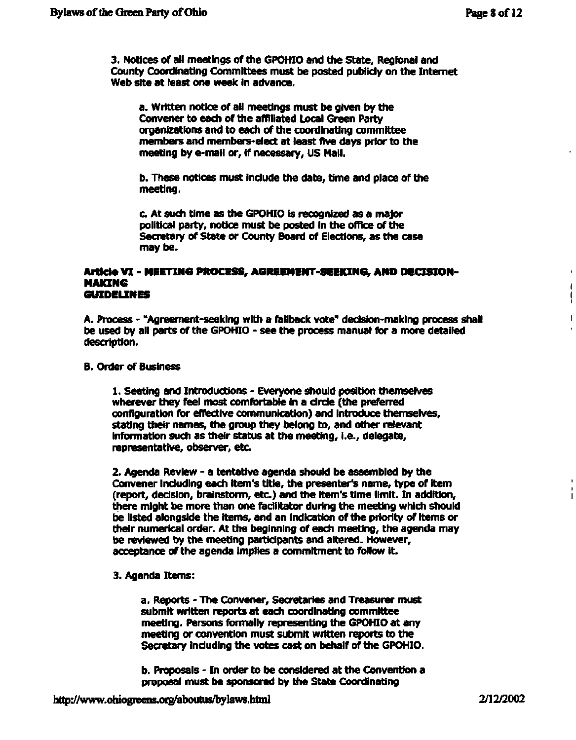¥.  $\mathbf{I}$ Ł

 $\mathbf{I}$ 

3. Notices of all meetings of the GPOHIO and the State, Regional and County Coordinating Committees must be posted publicly on the Internet Web site at least one week in advance.

a. Written notice of all meetings must be given by the Convener to each of the affiliated Local Green Party organizations and to each of the coordinating committee members and members-elect at least five days prior to the meeting by e-mail or, if necessary, US Mail.

b. These notices must include the date, time and place of the meeting.

c. At such time as the GPOHIO is recognized as a major political party, notice must be posted in the office of the Secretary of State or County Board of Elections, as the case may be.

#### **Article VI - MEEnNG PROCESS, AGREEMENT-SEEKING, AND DECISION-MAKING GUIDELINES**

A. Process - "Agreement-seeking with a fallback vote" decision-making process shall be used by all parts of the GPOHIO - see the process manual for a more detailed description.

#### B. Order of Business

1. Seating and Introductions - Everyone should position themselves wherever they feel most comfortable in a circle (the preferred configuration for effective communication) and introduce themselves, stating their names, the group they belong to, and other relevant information such as their status at the meeting, i.e., delegate, representative, observer, etc.

2. Agenda Review - a tentative agenda should be assembled by the Convener including each item's title, the presenter's name, type of item (report, decision, brainstorm, etc.) and the item's time limit. In addition, there might be more than one facilitator during the meeting which should be listed alongside the items, and an indication of the priority of items or their numerical order. At the beginning of each meeting, the agenda may be reviewed by the meeting participants and altered. However, acceptance of the agenda implies a commitment to follow it.

#### 3. Agenda Items:

a. Reports - The Convener, Secretaries and Treasurer must submit written reports at each coordinating committee meeting. Persons formally representing the GPOHIO at any meeting or convention must submit written reports to the Secretary including the votes cast on behalf of the GPOHIO.

b. Proposals - In order to be considered at the Convention a proposal must be sponsored by the State Coordinating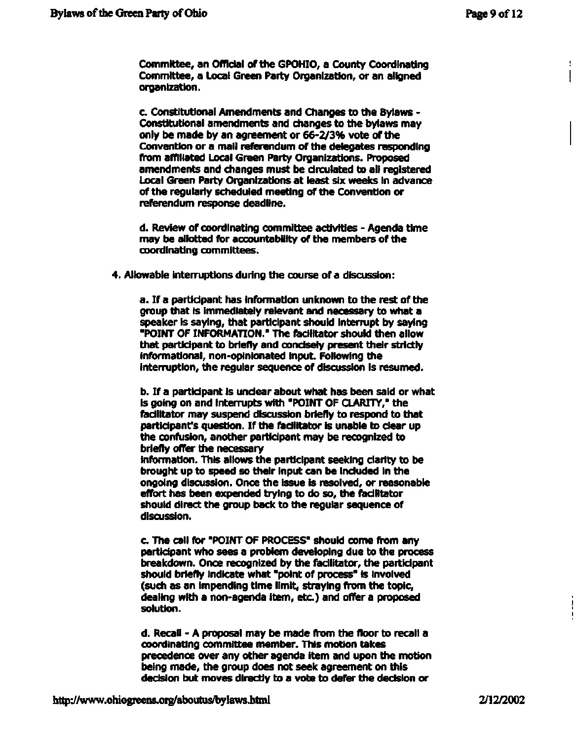**Committee, an Official of the GPOHIO, a County Coordinating Committee, a Local Green Party Organization, or an aligned organization.** 

**c. Constitutional Amendments and Changes to the Bylaws - Constitutional amendments and changes to the bylaws may only be made by an agreement or 66-2/3% vote of the Convention or a mail referendum of the delegates responding from affiliated Local Green Party Organizations. Proposed amendments and changes must be circulated to all registered Local Green Party Organizations at least six weeks in advance of the regularly scheduled meeting of the Convention or referendum response deadline.** 

**d. Review of coordinating committee activities - Agenda time may be allotted for accountability of the members of the coordinating committees.** 

**4. Allowable interruptions during the course of a discussion:** 

**a. If a participant has information unknown to the rest of the group that is immediately relevant and necessary to what a speaker is saying, that participant should interrupt by saying "POINT OF INFORMATION." The facilitator should then allow that participant to briefly and concisely present their strictly informational, non-opinionated input. Following the interruption, the regular sequence of discussion is resumed.** 

**b. If a participant is unclear about what has been said or what is going on and interrupts with "POINT OF CLARITY," the facilitator may suspend discussion briefly to respond to that participant's question. If the facilitator is unable to clear up the confusion, another participant may be recognized to briefly offer the necessary information. This allows the participant seeking clarity to be brought up to speed so their input can be included in the ongoing discussion. Once the issue is resolved, or reasonable effort has been expended trying to do so, the facilitator should direct the group back to the regular sequence of discussion.** 

**c. The call for "POINT OF PROCESS" should come from any participant who sees a problem developing due to the process breakdown. Once recognized by the facilitator, the participant should briefly indicate what "point of process" is involved (such as an impending time limit, straying from the topic, dealing with a non-agenda item, etc.) and offer a proposed solution.** 

**d. Recall - A proposal may be made from the floor to recall a coordinating committee member. This motion takes precedence over any other agenda item and upon the motion being made, the group does not seek agreement on this decision but moves directly to a vote to defer the decision or**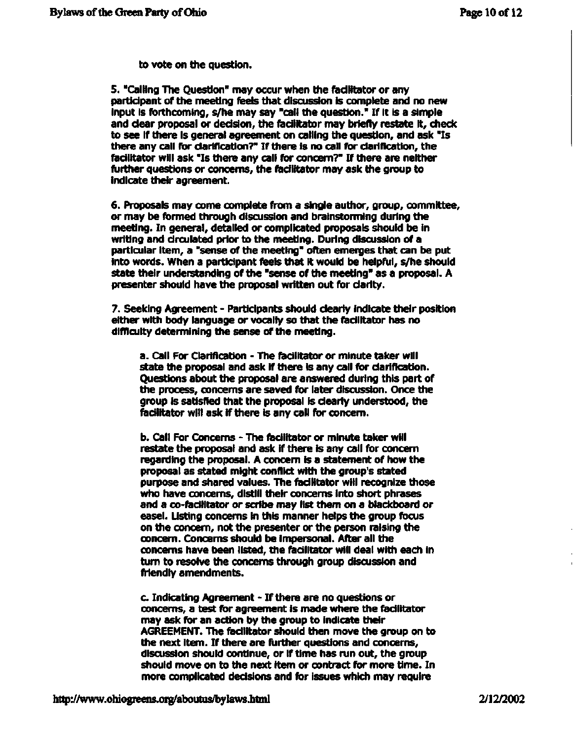**to vote on the question.** 

**5. "Calling The Question" may occur when the facilitator or any participant of the meeting feels that discussion is complete and no new input is forthcoming, s/he may say "call the question." If it is a simple and clear proposal or decision, the facilitator may briefly restate it, check to see If there Is general agreement on calling the question, and ask "Is there any call for clarification?" If there is no call for clarification, the facilitator will ask "Is there any call for concern?" If there are neither further questions or concerns, the facilitator may ask the group to indicate their agreement.** 

**6. Proposals may come complete from a single author, group, committee, or may be formed through discussion and brainstorming during the meeting. In general, detailed or complicated proposals should be in writing and circulated prior to the meeting. During discussion of a particular item, a "sense of the meeting" often emerges that can be put into words. When a participant feels that it would be helpful, s/he should state their understanding of the "sense of the meeting" as a proposal. A presenter should have the proposal written out for clarity.** 

**7. Seeking Agreement - Participants should clearly indicate their position either with body language or vocally so that the facilitator has no difficulty determining the sense of the meeting.** 

**a. Call For Clarification - The facilitator or minute taker will state the proposal and ask if there is any call for clarification. Questions about the proposal are answered during this part of the process, concerns are saved for later discussion. Once the group is satisfied that the proposal is clearly understood, the facilitator will ask if there is any call for concern.** 

**b. Call For Concerns - The facilitator or minute taker will restate the proposal and ask if there is any call for concern regarding the proposal. A concern is a statement of how the proposal as stated might conflict with the group's stated purpose and shared values. The facilitator will recognize those who have concerns, distill their concerns into short phrases and a co-facilitator or scribe may list them on a blackboard or easel. Listing concerns in this manner helps the group focus on the concern, not the presenter or the person raising the concern. Concerns should be impersonal. After all the concerns have been listed, the facilitator will deal with each in turn to resolve the concerns through group discussion and friendly amendments.** 

**c. Indicating Agreement - If there are no questions or concerns, a test for agreement is made where the facilitator may ask for an action by the group to indicate their AGREEMENT. The facilitator should then move the group on to the next item. If there are further questions and concerns, discussion should continue, or if time has run out, the group should move on to the next item or contract for more time. In more complicated decisions and for issues which may require**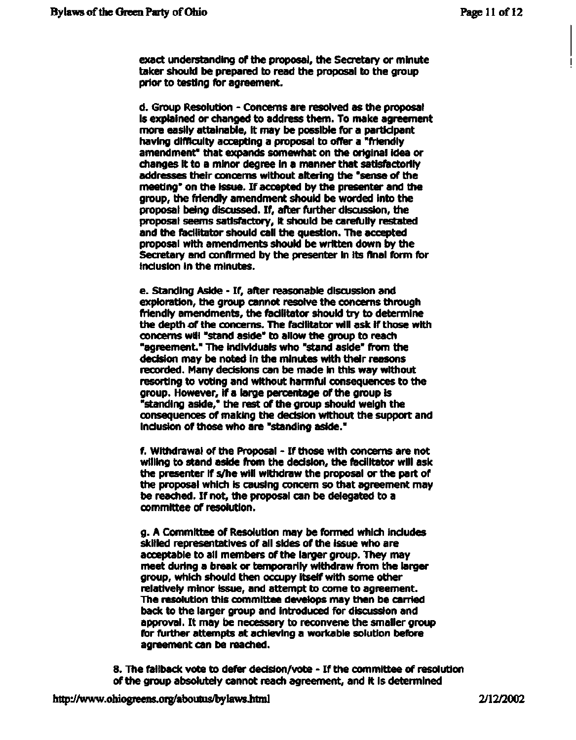**exact understanding of the proposal, the Secretary or minute taker should be prepared to read the proposal to the group prior to testing for agreement.** 

**d. Group Resolution - Concerns are resolved as the proposal is explained or changed to address them. To make agreement more easily attainable, it may be possible for a participant having difficulty accepting a proposal to offer a "friendly amendment" that expands somewhat on the original idea or changes it to a minor degree in a manner that satisfactorily addresses their concerns without altering the "sense of the meeting" on the issue. If accepted by the presenter and the group, the friendly amendment should be worded into the proposal being discussed. If, after further discussion, the proposal seems satisfactory, it should be carefully restated and the facilitator should call the question. The accepted proposal with amendments should be written down by the Secretary and confirmed by the presenter in its final form for inclusion in the minutes.** 

**e. Standing Aside - If, after reasonable discussion and exploration, the group cannot resolve the concerns through friendly amendments, the facilitator should try to determine the depth of the concerns. The facilitator will ask if those with concerns will "stand aside" to allow the group to reach "agreement." The individuals who "stand aside" from the decision may be noted in the minutes with their reasons recorded. Many decisions can be made in this way without resorting to voting and without harmful consequences to the group. However, if a large percentage of the group is "standing aside," the rest of the group should weigh the consequences of making the decision without the support and inclusion of those who are "standing aside."** 

**f. Withdrawal of the Proposal - If those with concerns are not willing to stand aside from the decision, the facilitator will ask the presenter if s/he will withdraw the proposal or the part of the proposal which is causing concern so that agreement may be reached. If not, the proposal can be delegated to a committee of resolution.** 

**g. A Committee of Resolution may be formed which includes skilled representatives of all sides of the issue who are acceptable to all members of the larger group. They may meet during a break or temporarily withdraw from the larger group, which should then occupy itself with some other relatively minor issue, and attempt to come to agreement. The resolution this committee develops may then be carried back to the larger group and introduced for discussion and approval. It may be necessary to reconvene the smaller group for further attempts at achieving a workable solution before agreement can be reached.** 

**8. Trie fallback vote to defer dedsion/vote - If the committee of resolution of the group absolutely cannot reach agreement, and it is determined**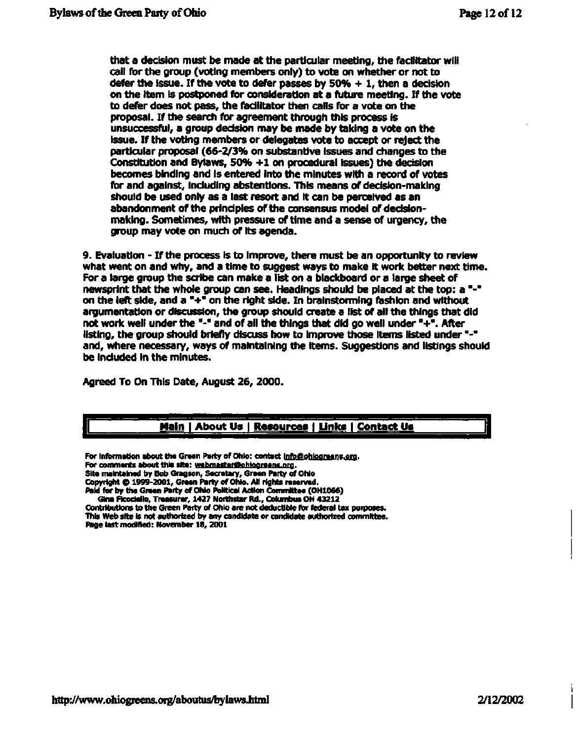that a decision must be made at the particular meeting, the facilitator will call for the group (voting members only) to vote on whether or not to defer the issue. If the vote to defer passes by 50% + 1, then a decision on the item is postponed for consideration at a future meeting. If the vote to defer does not pass, the facilitator then calls for a vote on the proposal. If the search for agreement through this process is unsuccessful, a group decision may be made by taking a vote on the issue. If the voting members or delegates vote to accept or reject the particular proposal (66-2/3% on substantive issues and changes to the Constitution and Bylaws, 50% +1 on procedural issues) the decision becomes binding and is entered into the minutes with a record of votes for and against, including abstentions. This means of decision-making should be used only as a last resort and it can be perceived as an abandonment of the principles of the consensus model of decisionmaking. Sometimes, with pressure of time and a sense of urgency, the group may vote on much of its agenda.

9. Evaluation - If the process is to improve, there must be an opportunity to review what went on and why, and a time to suggest ways to make it work better next time. For a large group the scribe can make a list on a blackboard or a large sheet of newsprint that the whole group can see. Headings should be placed at the top: a "-" on the left side, and a "+" on the right side. In brainstorming fashion and without argumentation or discussion, the group should create a list of all the things that did not work well under the "-" and of all the things that did go well under"+". After listing, the group should briefly discuss how to improve those items listed under "-" and, where necessary, ways of maintaining the items. Suggestions and listings should be included in the minutes.

Agreed To On This Date, August 26, 2000.

### **Main | About Us | Resources I Links | Contact Us**

**For information about the Green Party of Ohio: contact [infb@ohiograans.orq.](mailto:infb@ohiograans.orq)**  For comments about this site: **webmaster@ohiograens.org. Site maintained by Bob Gragson, Secretary, Green Party of Ohio Copyright G 1999-2001, Graen Party of Ohio. All rights reserved. Paid for by the Green Party of Ohio Political Action Committee (OH1066) Gina Ficodello, Treasurer, 1427 Northstar Rd., Columbus OH 43212** 

**Contributions to the Green Party of Ohio are not deductible for federal tax purposes. This Web site is not authorized by any candidate or candidate authorized committee. Page last modified: November 18, 2001**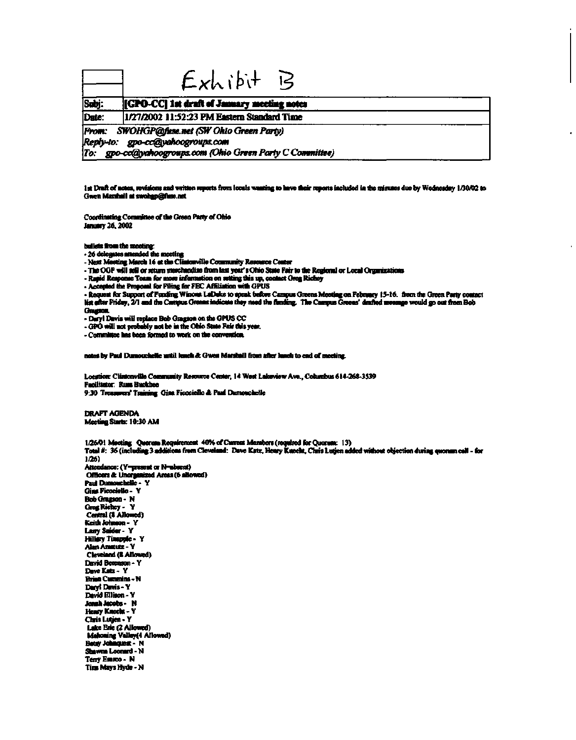|       | $Exhibit$ $B$                                                                                                                                |  |
|-------|----------------------------------------------------------------------------------------------------------------------------------------------|--|
| Subj: | [GPO-CC] 1st draft of January meeting notes                                                                                                  |  |
| Date: | 1/27/2002 11:52:23 PM Eastern Standard Time                                                                                                  |  |
|       | From: SWOHGP@fuse.net (SW Ohio Green Party)<br>Reply-to: gpo-cc@yahoogroups.com<br>To: gpo-cc@yahoogroups.com (Ohio Green Party C Committee) |  |

**1st Draft of notes, revisions and written reports from locals wanting to have their reports included in the minutes due by Wednesday 1/30/02 to Gwen Marshall at [swohgp@fuse.net](mailto:swohgp@fuse.net)** 

**Coordinating Committee of the Green Patty of Ohio January 26.2002** 

**bullets from the meeting:** 

**- 26 delegates attended the meeting** 

**- Next Meeting March 16 at the Cliatonville Community Resource Center** 

**-TheOGP will sell or return merchandise from last year's Ohio State Fair to the Regional or Local Organizations** 

**- Rapid Response Team for more information on setting this up, contact Greg Ricbey** 

**- Accepted the Proposal for Filing for FEC Affiliation with GPUS** 

**- Request for Suppoit of Funding Winona LaDuke to speak before Campus Greens Meeting on February 15-16. fiom the Green Party contact list after Friday, 2/1 and the Campus Greens indicate they need the finding. The Campus Greens' drafted message would go out from Bob GragsofL** 

**- Daryl Davis will replace Bob Gragson on the GPUS CC** 

**- GPO will not probably not be in the Ohio State Fair this year.** 

**- Committee has been formed to work on the convention.** 

**notes by Paul Dumouchelle until lunch ft Gwen Marshall from after lunch to end of meeting.** 

**Location: Clintonville Community Resource Center, 14 West Lakeview Ave., Columbus 614-268-3539 Facilitator: RussBuckbee 9:30 Treasurers' Training Gins Ficociello ft Paul Dumouchelle** 

**DRAFT AGENDA Meeting Starts: 10:30 AM** 

**1/26/01 Meeting Quorum Requirement 40% of Cunent Members (required for Quorum: 13) Total #: 36 (including 3 additions from Cleveland: Dave Katz, Henry Knecht, Chris Lutjen added without objection during quorum call - for 1/26) Attendance: (Y=present or N<sup>s</sup> absent) Officers ft Unorganized Areas (6 allowed) Paul Dumouchelle - Y Gina Ficociello • Y Bob Gragson- N GregRichey- Y Central (8 Allowed) Keith Johnson - Y Lany Snider- Y Hillary TinappJe- Y Alan Amstutz - Y Cleveland (8 Allowed) David Derenson - Y Dave Katz- Y Brian Cummins - N Daryl Davis- Y David Ellison-Y JomhJacobs- N Henry Knecht-Y Chris Lutjen-Y Lake Erie (2 Allowed) Mahoning Valley(4 Allowed) Betsy Johnquest - N Shawns Leonard - N Terry Esaico- N Tins Mays Hyde • N**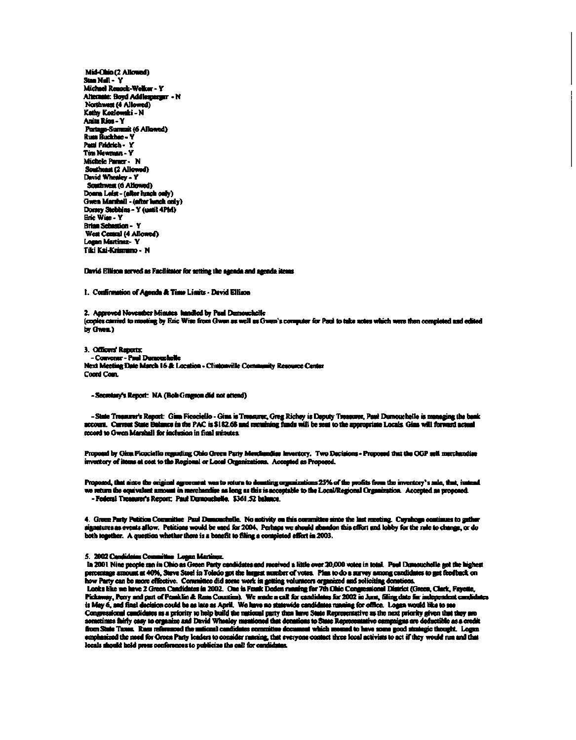**Mid-Ohio (2 Allowed) Stan Null- Y Michael Renock-Wdker - Y Alternate: Boyd Addlesperger - N Northwest (4 Allowed)**  Kathy Kozlowski - N **Anita Rios-Y Portage-Summit (6 Allowed) Russ Buckbee - Y PaniFridrich- Y Tim Newman - Y MichelePamer- N Southeast (2 Allowed) David Whealey-Y Southwest (6 Allowed) Donna Leist - (after lunch only) Gwen Marshall - (after lunch only) Dorsey Stebbins - Y (until 4PM) Eric Wise - Y Brian Sebastion - Y West Central (4 Allowed) Logan Martinez- Y**  Tiki Kai-Krismano - N

**David Ellison served as Facilitator for setting the agenda and agenda items** 

**1. Confirmation of Agenda ft Time Limits - David Ellison** 

**2. Approved November Minutes handled by Paul Dumouchelle (copies carried to meeting by Eric Wise from Gwen as well as Gwen's computer for Paul to take notes which were then completed and edited by Gwen.)** 

**3. Officers'Reports: - Convener - Paul Dumouchelle Next Meeting Dale March 16 ft Location - Clintonville Community Resource Center Coord Com.** 

**-Secretary's Report: NA (Bob Gregson did not attend)** 

**- State Treasurer's Report: Gins Ficociello - Gins is Treasurer, Greg Richey is Deputy Treasurer, Paul Dumouchelle is managing the bank account. Current State Balance in the PAC is \$182.68 and remaining funds will be sent to the appropriate Locals. Gina will forward actual record to Gwen Marshall for inclusion in final minutes.** 

**Proposal by Gina Ficociello regarding Ohio Green Party Merchandise Inventory. Two Decisions - Proposed that the OGP sell merchandise inventory of items at cost to the Regional or Local Organizations. Accepted as Proposed.** 

**Proposed, that since the original agreement was to return to donating organizations 25% of the profits from the inventory's sale, that, instead we return the equivalent amount in merchandise as long as this is acceptable to the Local/Regional Organization. Accepted as proposed. - Federal Treasurer's Report: Paul Dumouchelle. \$361.52 balance.** 

**4. Green Party Petition Committee Paul Dumouchelle. No activity on this committee since the last meeting. Cuyahoga continues to gather signatures as events allow. Petitions would be used for 2004. Perhaps we should abandon this effort and tabby for the rule to change, or do both together. A question whether there is a benefit to filing a completed effort in 2003.** 

#### **5. 2002 Candidates Committee Logan Martinez.**

**In 2001 Nine people ran in Ohio as Green Party candidates and received a little over 20,000 votes in total. Paul Dumouchelle got the highest**  percentage amount at 40%, Steve Steel in Toledo got the largest number of votes. Plan to do a survey among candidates to get feedback on **how Party can be more effective. Committee did some work in getting volunteers organized and soliciting donations.**  Looks like we have 2 Green Candidates in 2002. One is Frank Doden running for 7th Ohio Congressional District (Green, Clark, Fayotte,<br>Pickaway, Perry and part of Franklin & Rous Counties). We made a call for candidates for **is May 6, and final decision could be as late as April. We have no statewide candidates naming for office. Logan would like to see Congressional candidates as a priority to help build the national party then have State Representative as the next priority given that they are**  sometimes fairly casy to organize and David Whealey mentioned that donations to State Representative campaig **from State Taxes. Russ referenced the national candidates comnattee document which seemed to have some good strategic thought Logan**  emphasized the need for Green Party leaders to consider running, that everyone contact three local activists to act if they would run and that **locals should hold press conferences to publicize the call for candidates.**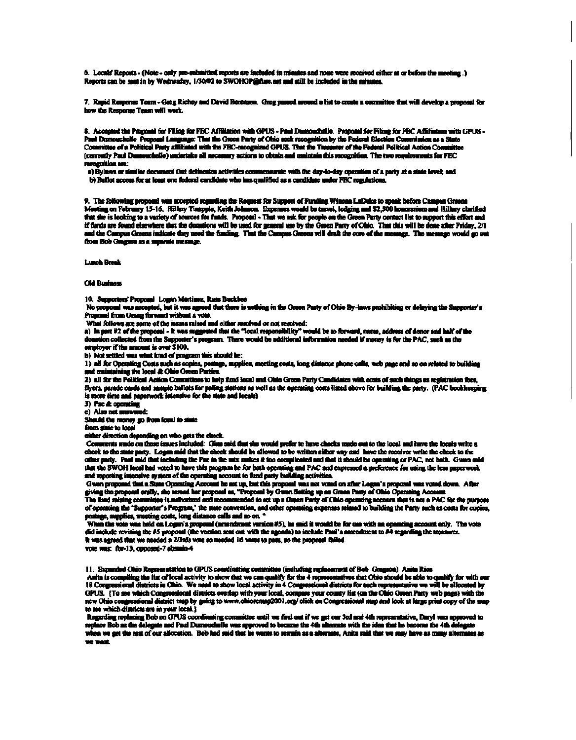6. Locals' Reports - (Note - only pre-submitted reports are included in minutes and none were received either at or before the meeting.) **Reports can be sent in by Wednesday, 1/30/02 to [SWOHGP@fuse.net](mailto:SWOHGP@fuse.net) and sail be included in the minutes.** 

**7. Rapid Response Team - Greg Richey and David Deiensuit Greg passed around a list to create a committee that will develop a proposal for how the Response Team will work.** 

**8. Accepted the Proposal for Filing for FEC Affiliation win GPUS - Paul Dumouchdle. Proposal for Filing for FEC Affiliation with GPUS - Paul Dumouchelle Proposal language: That the Green Parly of Ohio seek recognition by the Federal Election Commission as a State Committee of a Political Party affiliated with the FEC-iecognized GPUS. That the Treasurer of the Federal Political Action Committee (currently Paul Dumouchelle) undertake all necessary actions to obtain and maintain this recognition. The two requirements for FEC recognition are:** 

**a) Bylaws or similar document that delineates activities commensurate with the day-to-day operation of a party at a state level; and b) Ballot access for at least one federal candidate who has qualified as a candidate under FBC regulations.** 

9. The following proposal was accepted regarding the Request for Support of Funding Winnes LaDuke to speak before Campus Greens **Meeting on February 15-16. Hillary Tinapple. Keith Johnson. Expenses would be travel, lodging and \$2,500 honorarium and Hillary clarified that she is looking to a variety of sources for funds. Proposal- That we ask for people on the Green Party contact list to support this effort and if funds are found elsewhere that the donations will be used for general use by tie Green Party of Ohio. That this will be done after Friday, 2/1 and the Campus Greens indicate they need the funding. That the Campus Greens will draft the core of the message. The message would go out from Bob Gragson as a separate message.** 

**Lunch Break** 

#### **Old Business**

**10. Supporters'Proposal Logan Martinez, Russ Buckbee** 

**No proposal was accepted, but it was agreed that there is nothing in the Green Party of Ohio By-laws prohibiting or delaying the Supporter's Proposal from Going forward without a vote.** 

**What follows are some of the issues raised and either resolved or not resolved:** 

What follows are some of the issues raised and either senolved or not resolved:<br>a) In part #2 of the proposel - It was suggested that the "local responsibility" would be to forward, name, address of donor and half of the<br>d **employer if the amount is over \$100.** 

**b) Not settled was what kind of program this should be:** 

1) all for Operating Costs such as copies, postage, supplies, meeting costs, long distance phone calls, web page and so on related to building **and maintaining the local ft Ohio Green Parties.** 

2) all for the Political Action Committees to help fund local and Ohio Green Party Candidates with costs of such things as registration fees, **flyers, parade cards and sample ballots for poling stations as well as the operating costs listed above for building the party. (PAC bookkeeping is more time and paperwork intensive for the state and locals)** 

**3) Pac ft operating** 

**c) Also not answered:** 

**Should the money go from local to state** 

**from stale to local** 

**either direction depending on who gets the check.** 

**Comments made on these issues included: Gina said that she would prefer to have checks made out to the local and have the locals write a check to the slate party. Logan said that the check should be allowed to be written either way and have the receiver write the check to the**  other party. Paul said that including the Pac in the mix makes it too complicated and that it should be operating or PAC, not both. Gwen said **that the SWOH local had voted to have this program be for both operating and PAC and expressed a preference for using the less paperwork and reporting intensive system of the operating account to fund party building activities.** 

**Gwan proposed that a State Operating Account be set up, but this proposal was not voted on after Logan's proposal was voted down. After giving the proposal orally, she reread her proposal as, "Proposal by Gwen Setting up an Green Party of Ohio Operating Account** 

The fund raising committee is authorized and recommended **of operating the 'Supporter's Program,' the slate convention, and other operating expenses related to building the Party such as costs f^ postage, supplies, meeting costs, long distance calls and soon."** 

**When the vote was held on Logan's proposal (amendment version** *#5\* **he said it would be for use with an operating account only. The vote did include revising the #5 proposal (the version sent out with the agenda) to include Paul's amendment to #4 regarding the treasurer. It was agreed that we needed a 2/3ids vote so needed 16 votes to pass, so the proposal failed.** 

**vote was: for-13, opposed-7abstam-4** 

**11. Expanded Ohio Representation to GPUS coordinating committee (including replacenient of Bob Gragson) Anita Rios** 

Anita is compiling the list of local activity to show that we can qualify for <del>the 4 representatives that Ohio should be able to qualify for with our</del> **18 Congressional districts in Ohio. We need to show local activity in 4 Congressional districts for each representative we will be allocated by GPUS. {To see which Congressional districts overlap with your local, compare your county list (on die Omo Green Party web page) with the new Ohio congressional district map by going to [www.ohioremap200l .](http://www.ohioremap200l)org/ click on Congressional map and look at large print copy of the map to see which districts are in your local.}** 

**Regarding replacing Bob on GPUS coordinating committee until we find out if we get our 3rd and 4th representative, Daryl was approved to**  replace Bob as the delegate and Paul Dumouchelle was approved to became the 4th alternate with the idea that he become the 4th de **when we get die rest of our allocation. Bob had said tint he wants to remain as a alternate, Anita said that we may have as many alternates as we want.**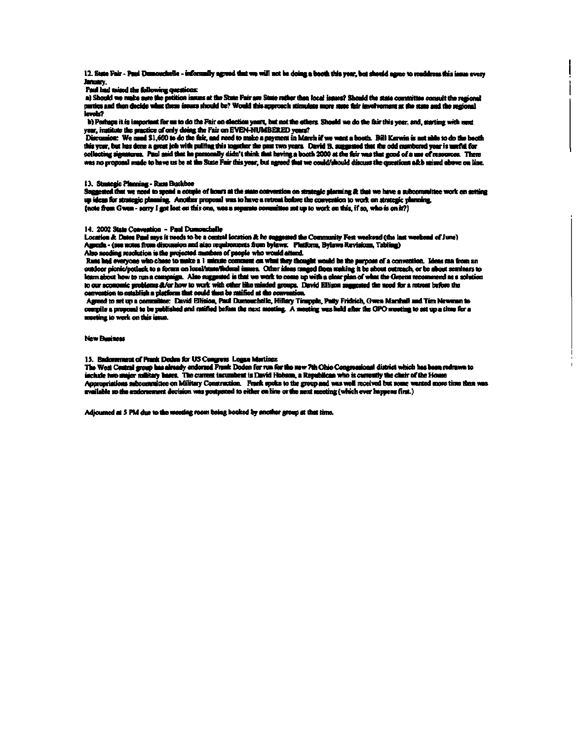**12. State Fair - Paul Dumouehelle - informally agreed that we will not be doing a booth this year, but should agree to readdress this issue every January.** 

**Paul had raised the following questions:** 

**a) Should we make sure the petition issues at the State Fair are Stare father than local issues? Should the stale committee consult the regional paities and then decide what these issues should te?W levels?** 

**b) Perhaps it is important for us to do the Fair on election years, but not the others. Should we do the fair this year, and, starting with ment year, institute the practice of only doing the Fair on EVEN-NUMBERED years?** 

Discussion: We need \$1,600 to do the fair, and need to make a payment in March if we want a booth. Bill Kerwin is not able to do the booth **this year, but has done a great job with pulling this together the past two years. David B. suggested that the odd numbered year is useful for**  collecting signatures. Paul said that he personally didn't think that having a booth 2000 at the fixir was that good of a use of resources. There **was no proposal made to have us be at the State Fair this year, but agreed that we could/should discuss the questions aAb raised above on line.** 

#### **13. Strategic Planning- RussBuckbee**

**Suggested that we need to spend a couple of hours at the state convention on strategic planning A that we have a subcommittee work on setting up ideas for strategic planning. Another proposal was to have a retreat before the conventkm to work on strategic planning. {note from Gwen - sorry I got lost on this one, was a separate committee set up to work on this, if so, who is on it?}** 

#### **14. 2002 State Convention - Paul Dumouehelle**

**Location A Dates Paul says it needs to be a central location A he suggested the Community Fest weekend (the last weekend of June) Agenda - (see notes from discussion and also requirements from bylaws: Platform, Bylaws Revisions, Tabling) Also needing resolution is the projected numbers of people who would attend.** 

Russ had everyone who chose to make a 1 minute comment on what they thought would be the purpose of a convention. Ideas ran from an outdoor picnic/potlask to a foram on local/state/fiederal issues. Other ideas ranged from making it be about outreach, or be about seminars to **learn about how to run a campaign. Also suggested is that we work to come up with a clear plan cfwliat the Greens recommend as a solution to our economic problems A/or how to work with other like minded groups. David Ellison suggested the need for a retreat before the convention to establish a platform that could then be latified at die convention.** 

**Agreed to set up a committee: David Ellison, Paul Dumouehelle, Hillary Tinapple, Patty Fridrich, Gwen Marshall and Tim Newman to compile a proposal to be published and ratified before the next meeting. A meeting was held after the GPO meeting to set up a time for a meeting to work on this issue.** 

#### **New Business**

#### **15. Endorsement of Frank Doden for US Congress Logan Martinez**

The West Central group has already endorsed Frank Doden for run for the new 7th Ohio Congressional district which has been redrawn to **include two major military bases. The current incumbent is David Hobson, a Republican who is currently the chair of the House Appropriations subcommitlee on Military Construction. Frank spoke to the group and was well received but some wanted more time than was available so the endorsement decision was postponed to either on line or the next meeting (which ever happens first.)** 

**Adjourned al 5 PM due to the meeting room being booked by another group at that time.**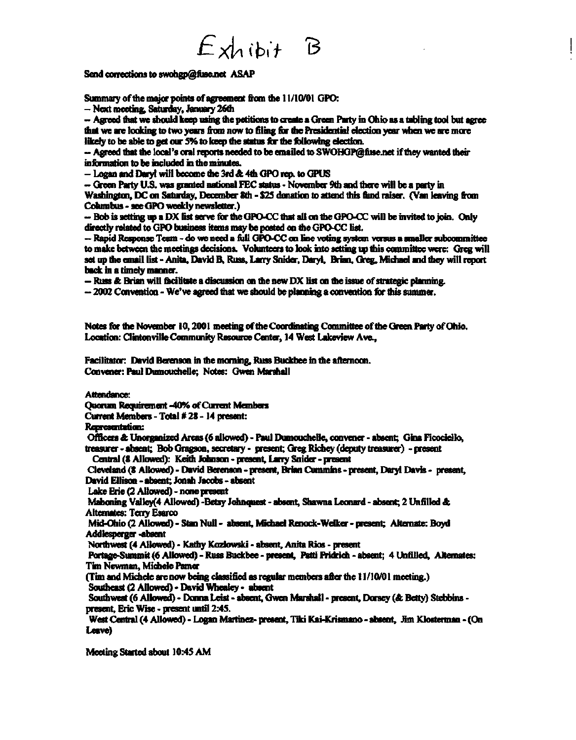# $Exhibit$  B

Send corrections to swohgp@fuse.net **ASAP** 

**Summary of the major points of agreement from the 11/10701 GPO:** 

**- Next meeting, Saturday, January 26th** 

**- Agreed mat we should keep using the petitions to create a Green Party in Ohio as a tabling tool but agree that we are looking to two years from now to filing for the Presidential election year when we are more**  likely to be able to get our 5% to keep the status for the following election.

**- Agreed that the local's oral reports needed to be emailed to [SWOIKiP@fiise.net](mailto:SWOIKiP@fiise.net) if they wanted their information to be included in the minutes.** 

**- Logan and Daryl will become the 3rd ft 4m GPO rep. to GPUS** 

- Green Party U.S. was granted national FEC status - November 9th and there will be a party in

**Washington, DC on Saturday, December 8th - \$25 donation to attend mis fimd raiser. (Van leaving from Columbus - see GPO weekly newsletter.)** 

**- Bob is setting up a DX list serve for the GPO-CC that all on the GPO-CC will be invited to join. Only directly related to GPO business items may be posted on the GPO-CC list.** 

**- Rapid Response Team - do we need a full GPO-CC on line voting system versus a smaller subcommittee to make between the meetings decisions. Volunteers to look into setting up mis committee were: Greg will set up the email list - Anita, David B, Russ, Larry Snider, Daryl, Brian, Greg, Michael and mey will report back in a timely manner.** 

**- Russ & Brian will facilitate a discussion on the new DX list on the issue of strategic planning.** 

**- 2002 Convention - We've agreed mat we should be planning a convention for mis summer.** 

**Notes for the November 10,2001 meeting of the Coordinating Committee of the Green Party of Ohio. Location: Clintonville Community Resource Center, 14 West Lakeview Ave.,** 

**Facilitator: David Berenson in the morning, Russ Buckbee in the afternoon. Convener: Paul Dumouchelle; Notes: Gwen Marshall** 

**Attendance:** 

**Quorum Requirement -40% of Current Members** 

**Current Members - Total #28-1 4 present:** 

**Representation:** 

**Officers & Unorganized Areas (6 allowed) - Paul Dumouchelle, convener - absent; Gina Ficociello,** 

**treasurer - absent; Bob Gragson, secretary - present; Greg Richey (deputy treasurer) -present Central (8 Allowed): Keith Johnson - present, Larry Snider - present** 

**Cleveland (8 Allowed) - David Berenson - present, Brian Cummins - present, Daryl Davis - present, David Ellison - absent; Jonah Jacobs - absent** 

**Lake Erie (2 Allowed) - none present** 

**Mahoning Valley(4 Allowed) -Betsy Johnquest - absent, Shawna Leonard - absent; 2 Unfilled & Alternates: Terry Esarco** 

**Mid-Ohio (2 Allowed) - Stan Null - absent, Michael Renock-Wdker - present; Alternate: Boyd Addlesperger -absent** 

**Northwest (4 Allowed) - Kathy Kozlowski - absent, Anita Rios - present** 

**Portage-Summit (6 Allowed) - Russ Buckbee - present, Patti Fridrich - absent; 4 Unfilled, Alternates: Tim Newman, Michele Pamer** 

**(Tim and Michele are now being classified as regular members after the 11/10/01 meeting.) Southeast(2Allowed)-DavidWhealey- absent** 

**Southwest (6 Allowed) - Donna Leist - absent, Gwen Marshall - present, Dorsey (ft Betty) Stebbins present, Eric Wise - present until 2:45.** 

**West Central (4 Allowed) - Logan Martinez- present, Tiki Kai-Krismano - absent, Jim Klosterman - (On Leave)** 

**Meeting Started about 10:45 AM**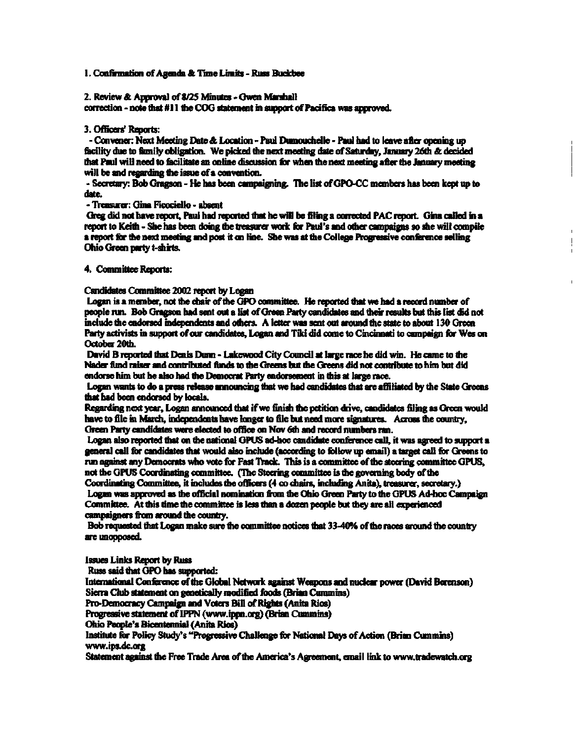#### **1. Confirmation of Agenda & Time Limits - Russ Buckbee**

#### **2. Review & Approval of 8/25 Minutes - Gwen Marshall**

**correction - note that #11 the COG statement in support of Pacifica was approved.** 

#### **3. Officers' Reports:**

**- Convener: Next Meeting Date & Location - Paul Dumouchelle - Paul had to leave after opening up facility due to family obligation. We picked the next meeting date of Saturday, January 26th & decided that Paul will need to facilitate an online discussion for when the next meeting after the January meeting will be and regarding the issue of a convention.** 

**- Secretary: Bob Gragson - He has been campaigning. The list of GPO-CC members has been kept up to date.** 

**- Treasurer: Gina Ficociello - absent** 

**Greg did not have report, Paul had reported mat he will be filing a corrected PAC report. Gina called in a report to Keith - She has been doing the treasurer work for Paul's and other campaigns so she will compile a report for the next meeting and post it on line. She was at the College Progressive conference selling Ohio Green parry t-shirts.** 

 $\begin{array}{c} \hline \end{array}$ 

**4. Committee Reports:** 

**Candidates Committee 2002 report by Logan** 

**Logan is a member, not the chair of the GPO committee. He reported that we had a record number of people run. Bob Gragson had sent out a list of Green Party candidates and their results but this list did not include the endorsed independents and others. A letter was sent out around the state to about 130 Green Party activists in support of our candidates, Logan and Tiki did come to Cincinnati to campaign for Wes on October 20th.** 

**David B reported mat Denis Dunn - Lakewood City Council at large race he did win. He came to the Nader fund raiser and contributed funds to the Greens but the Greens did not contribute to him but did endorse him but he also had the Democrat Party endorsement in this at large race.** 

**Logan wants to do a press release announcing that we had candidates that are affiliated by the State Greens that had been endorsed by locals.** 

**Regarding next year, Logan announced that if we finish the petition drive, candidates filing as Green would have to file in March, independents have longer to file but need more signatures. Across the country,**  Green Party candidates were elected to office on Nov 6th and record numbers ran.

**Logan also reported that on the national GPUS ad-hoc candidate conference call, it was agreed to support a general call for candidates that would also include (according to follow up email) a target call for Greens to run against any Democrats who vote for Fast Track. This is a committee of the steering committee GPUS, not the GPUS Coordinating committee. (The Steering committee is the governing body of the** 

**Coordinating Committee, it includes the officers (4 co chairs, including Anita), treasurer, secretary.)**  Logan was approved as the official nomination from the Ohio Green Party to the GPUS Ad-hoc Campaign **Committee. At this time the committee is less than a dozen people but they are all experienced campaigners from around the country.** 

**Bob requested that Logan make sure the committee notices mat 33-40% of foe races around the country are unopposed.** 

**Issues Links Report by Russ** 

**Russ said that GPO has supported:** 

**International Conference of the Global Network against Weapons and nuclear power (David Berenson) Sierra Club statement on genetically modified foods (Brian Cummins)** 

**Pro-Democracy Campaign and Voters Bill of Rights (Anita Rios)** 

**Progressive statement of IPPN [\(www.ippn.org\)](http://www.ippn.org) (Brian Cummins)** 

**Ohio People's Bicentennial (Anita Rios)** 

**Institute for Policy Study's "Progressive Challenge for National Days of Action (Brian Cummins) [www.ips.dc.org](http://www.ips.dc.org)** 

**Statement against foe Free Trade Area of the America's Agreement, email link to [www.tradewatch.org](http://www.tradewatch.org)**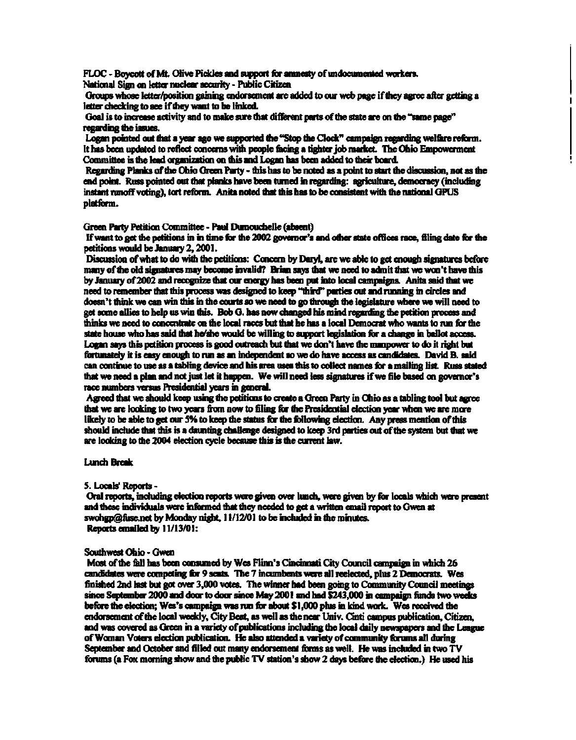**FLOC - Boycott of Mt. Olive Pickles and support for amnesty of undocumented workers. National Sign on letter nuclear security - Public Citizen** 

**Groups whose letter/position gaining endorsement are added to our web page if they agree after getting a**  letter checking to see if they want to be linked.

1

**Goal is to increase activity and to make sure that different parts of the state are on the "same page" regarding the issues.** 

Logan pointed out that a year ago we supported the "Stop the Clock" campaign regarding welfare reform. It has been updated to reflect concerns with people facing a tighter job market. The Ohio Empowerment **Committee is the lead organization on this and Logan has been added to their board.** 

**Regarding Planks of the Ohio Green Party - this has to be noted as a point to start the discussion, not as the end point. Russ pointed out mat planks have been turned in regarding: agriculture, democracy (including instant runoff voting), tort reform. Anita noted mat this has to be consistent with the national GPUS platform.** 

**Green Party Petition Committee - Paul Dumouchelle (absent)** 

**If want to get the petitions in in time for the 2002 governor's and other state offices race, filing date for the petitions would be January 2,2001.** 

**Discussion of what to do with the petitions: Concern by Daryl, are we able to get enough signatures before many of me old signatures may become invalid? Brian says that we need to admit that we won't have this by January of 2002 and recognize that our energy has been put into local campaigns. Anita said mat we need to remember that this process was designed to keep "third" parties out and running in circles and doesn't think we can win this in the courts so we need to go through the legislature where we will need to get some allies to help us win this. Bob G. has now changed his mind regarding the petition process and minks we need to concentrate on the local races but that he has a local Democrat who wants to run for the state house who has said that he/she would be willing to support legislation for a change in ballot access. Logan says this petition process is good outreach but that we don't have the manpower to do it right but fortunately it is easy enough to run as an independent so we do have access as candidates. David B. said can continue to use as a tabling device and his area uses this to collect names for a mailing list Russ stated that we need a plan and not just let it happen. We will need less signatures if we file based on governor's race numbers versus Presidential years in general.** 

**Agreed that we should keep using the petitions to create a Green Party in Ohio as a tabling tool but agree mat we are looking to two years from now to filing for the Presidential election year when we are more likely to be able to get our 5% to keep the status for die following election. Any press mention of this should include that mis is a daunting challenge designed to keep 3rd parties out of the system but that we are looking to the 2004 election cycle because this is the current law.** 

**Lunch Break** 

#### **5. Locals' Reports -**

**Oral reports, including election reports were given over lunch, were given by for locals which were present and these individuals were informed that they needed to get a written email report to Gwen at [swohgp@fuse.net](mailto:swohgp@fuse.net) by Monday night, 11/12/01 to be included in the minutes. Reports emailed by 11/13/01:** 

#### **Southwest Ohio - Gwen**

**Most of the fall has been consumed by Wes Flinn's Cincinnati City Council campaign in which 26 candidates were competing for 9 seats. The 7 incumbents were all reelected, plus 2 Democrats. Wes finished 2nd last but got over 3,000 votes. The winner had been going to Community Council meetings since September 2000 and door to door since May 2001 and had \$243,000 in campaign funds two weeks before the election; Wes's campaign was run for about \$1,000 plus in kind work. Wes received the endorsement of the local weekly, City Beat, as well as the near Univ. Cinti campus publication, Citizen, and was covered as Green in a variety of publications including the local daily newspapers and the League of Woman Voters election publication. He also attended a variety of community forums all during September and October and filled out many endorsement forms as well. He was included in two TV forums (a Fox morning show and the public TV station's show 2 days before the election.) He used his**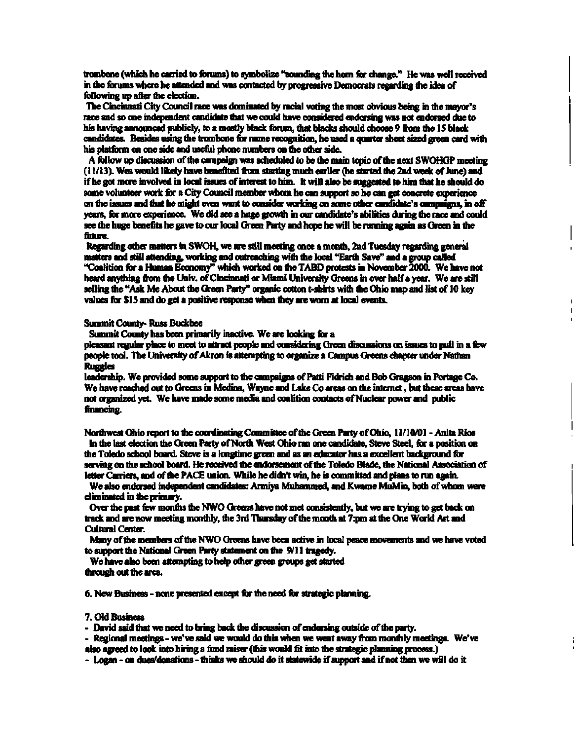**trombone (which he carried to forums) to symbolize "sounding the horn for change.\*\* He was well received in the forums where he attended and was contacted by progressive Democrats regarding the idea of following up after the election.** 

**The Cincinnati City Council race was dominated by racial voting the most obvious being in the mayor's race and so one independent candidate that we could have considered endorsing was not endorsed due to his having announced publicly, to a mostly black forum, that blacks should choose 9 from me 15 Mack**  candidates. Besides using the trombone for name recognition, he used a quarter sheet sized green card with **his platform on one side and useful phone numbers on the other side.** 

**A follow up discussion of the campaign was scheduled to be the main topic of me next SWOHGP meeting (11/13). Wes would likely have benefited from starting much earlier (he started the 2nd week of June) and if he got more involved in local issues of interest to him. It will also be suggested to him mat he should do some volunteer work for a City Council member whom he can support so he can get concrete experience on the issues and mat he might even want to consider working on some other candidate's campaigns, in off years, for more experience. We did see a huge growm in our candidate's abilities during the race and could see the huge benefits he gave to our local Green Parry and hope he will be running again as Green in the future.** 

**Regarding other matters in SWOH, we are still meeting once a month, 2nd Tuesday regarding general matters and still attending, working and outreaching with the local "Earth Save" and a group called "Coalition for a Human Economy" which worked on the TABD protests in November 2000. We have not heard anything from the Univ. of Cincinnati or Miami University Greens in over half a year. We are still selling the "Ask Me About the Green Parry" organic cotton t-shirts with the Ohio map and list of 10 key values for \$ 15 and do get a positive response when they are worn at local events.** 

#### **Summit County- Russ Buckbee**

**Summit County has been primarily inactive. We are looking for a** 

**pleasant regular place to meet to attract people and considering Green discussions on issues to pull in a few people tool. The University of Akron is attempting to organize a Campus Greens chapter under Nathan Ruggles** 

**leadership. We provided some support to the campaigns of Patti Fidrich and Bob Gragson in Portage Co. We have reached out to Greens in Medina, Wayne and Lake Co areas on the internet, but these areas have not organized yet. We have made some media and coalition contacts of Nuclear power and public financing.** 

**Northwest Ohio report to the coordinating Committee of the Green Party of Ohio, 11/10/01 - Anita Rios**  In the last election the Green Party of North West Ohio ran one candidate, Steve Steel, for a position on **the Toledo school board Steve is a longtime green and as an educator has a excellent background for serving on the school board. He received the endorsement of the Toledo Blade, the National Association of letter Carriers, and of me PACE union. While he didn't win, he is committed and plans to run again.** 

**We also endorsed independent candidates: Armiya Muhammed, and Kwame MuMin, both of whom were eliminated in the primary.** 

Over the past few months the NWO Greens have not met consistently, but we are trying to get back on **track and are now meeting monthly, the 3rd Thursday of the month at 7:pm at the One World Art and Cultural Center.** 

**Many of the members of the NWO Greens have been active in local peace movements and we have voted to support the National Green Party statement on the 9/11 tragedy.** 

**We have also been attempting to help other green groups get started through out the area.** 

**6. New Business - none presented except for the need for strategic planning.** 

**7. Old Business** 

**- David said that we need to bring back the discussion of endorsing outside of the party.** 

**- Regional meetings - we've said we would do this when we went away from monthly meetings. We've** 

**also agreed to look into hiring a fund raiser (mis would fit into the strategic planning process.)** 

**- Logan - on dues/donations - thinks we should do it statewide if support and if not men we will do it**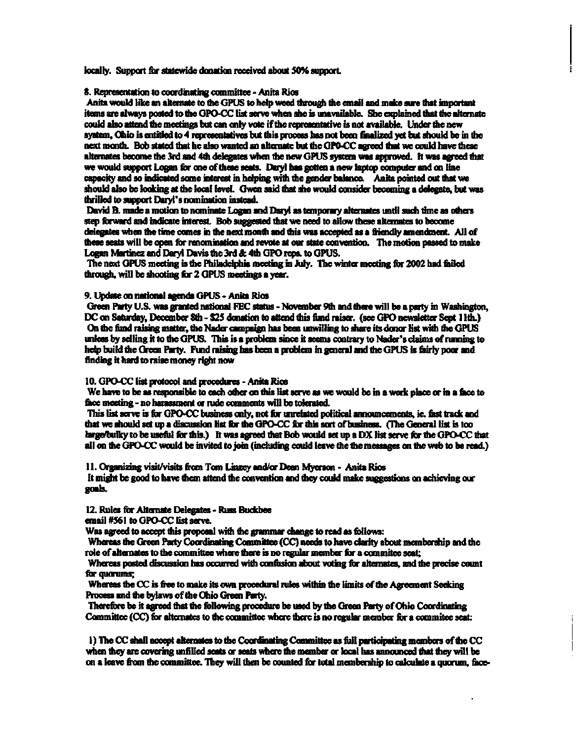**locally. Support for statewide donation received about 50% support** 

**8. Representation to coordinating committee - Anita Rios** 

**Anita would like an alternate to the GPUS to help weed through the email and make sure that important items are always posted to the GPO-CC list serve when she is unavailable. She explained that the alternate could also attend the meetings but can only vote if the representative is not available. Under the new system, Ohio is entitled to 4 representatives but this process has not been finalized yet but should be in the next month. Bob stated that he also wanted an alternate but the GPO-CC agreed that we could have these alternates become the 3rd and 4th delegates when the new GPUS system was approved. It was agreed mat we would support Logan for one of these seats. Daryl has gotten a new laptop computer and on line capacity and so indicated some interest in helping with the gender balance. Anita pointed out mat we should also be looking at die local level. Gwen said that she would consider becoming a delegate, but was thrilled to support Daryl's nomination instead.** 

**David B. made a motion to nominate Logan and Daryl as temporary alternates until such time as others step forward and indicate interest. Bob suggested that we need to allow these alternates to become delegates when the time comes in die next month and this was accepted as a friendly amendment. All of these seats will be open for renomination and revote at our state convention. The motion passed to make Logan Martinez and Daryl Davis the 3rd & 4th GPO reps, to GPUS.** 

**The next GPUS meeting is the Philadelphia meeting in July. The winter meeting for 2002 had failed through, will be shooting for 2 GPUS meetings a year.** 

#### **9. Update on national agenda GPUS - Anita Rios**

**Green Party U.S. was granted national FEC status - November 9th and mere will be a party in Washington, DC on Saturday, December 8th - S2S donation to attend this fond raiser, (see GPO newsletter Sept 11th.) On the fund raising matter, the Nader campaign has been unwilling to share its donor list with the GPUS unless by selling it to the GPUS. This is a problem since it seems contrary to Nader's claims of running to help build the Green Party. Fund raising has been a problem in general and the GPUS is fairly poor and finding it hard to raise money right now** 

#### **10. GPO-CC list protocol and procedures - Anita Rios**

**We have to be as responsible to each other on this list serve as we would be in a work place or in a face to face meeting - no harassment or rude comments will be tolerated.** 

**This list serve is for GPO-CC business only, not for unrelated political announcements, ie. fast track and mat we should set up a discussion list for die GPO-CC for tfiis sort of business. (The General list is too large/bulky to be useful for mis.) It was agreed that Bob would set up a DX list serve for the GPO-CC that all on the GPO-CC would be invited to join (including could leave the the messages on the web to be read.)** 

**11. Organizing visit/visits from Tom Linzey and/or Dean Myerson - Anita Rios**  It might be good to have them attend the convention and they could make suggestions on achieving our **goals.** 

#### **12. Rules for Alternate Delegates - Russ Buckbee**

**email #561 to GPO-CC list serve.** 

**Was agreed to accept mis proposal with the grammar change to read as follows:** 

**Whereas the Green Party Coordinating Committee (CC) needs to have clarity about membership and the**  role of alternates to the committee where there is no regular member for a commitee seat;

**Whereas posted discussion has occurred with confusion about voting for alternates, and the precise count for quorums;** 

**Whereas the CC is free to make its own procedural rules within the limits of the Agreement Seeking Process and the bylaws of the Ohio Green Parry.** 

**Therefore be it agreed mat the following procedure be used by the Green Party of Ohio Coordinating**  Committee (CC) for alternates to the committee where there is no regular member for a committee seat:

**1) The CC shall accept alternates to the Coordinating Committee as full participating members of me CC when they are covering unfilled seats or seats where the member or local has announced mat they will be on a leave from the committee. They will then be counted for total membership to calculate a quorum, face-**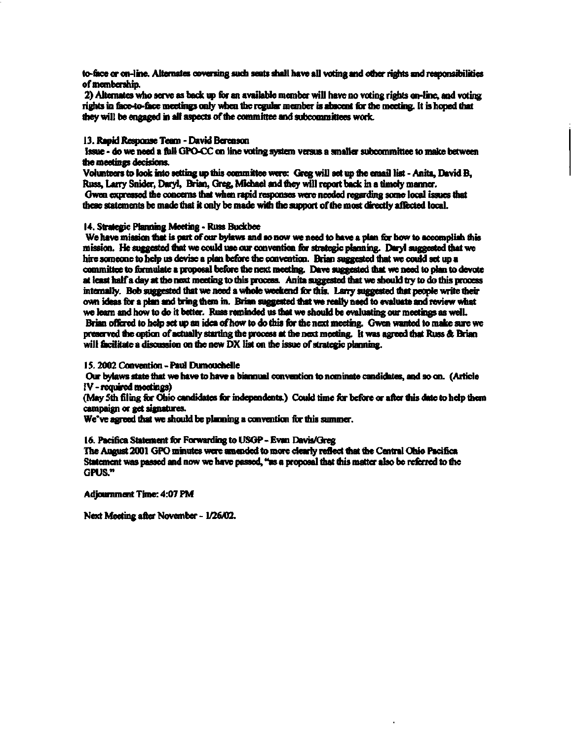**to-face or on-line. Alternates ooversing such seats shall have all voting and other rights and responsibilities of membership.** 

**2) Alternates who serve as back up for an available member will have no voting rights on-line, and voting rights in nice-to-face meetings only when foe regular member is abscent for foe meeting. It is hoped mat they will be engaged in all aspects of the committee and subcommittees work.** 

#### **13. Rapid Response Team - David Berenson**

**Issue - do we need a full GPO-CC on line voting system versus a smaller subcommittee to make between the meetings decisions.** 

**Volunteers to look into setting up this committee were: Greg will set up the email list - Anita, David B, Russ, Larry Snider, Daryl, Brian, Greg, Michael and they will report back in a timely manner. Gwen expressed the concerns that when rapid responses were needed regarding some local issues that these statements be made that it only be made with die support of the most directly affected local.** 

#### **14. Strategic Planning Meeting - Russ Buckbee**

**We have mission that is part of our bylaws and so now we need to have a plan for how to accomplish this mission. He suggested mat we could use our convention for strategic planning. Daryl suggested that we hire someone to help us devise a plan before the convention. Brian suggested mat we could set up a committee to formulate a proposal before foe next meeting. Dave suggested mat we need to plan to devote at least half a day at foe next meeting to mis process. Anita suggested that we should try to do this process internally. Bob suggested that we need a whole weekend for this. Larry suggested that people write their own ideas for a plan and bring them in. Brian suggested that we really need to evaluate and review what we learn and how to do it better. Russ reminded us that we should be evaluating our meetings as well. Brian offered to help set up an idea of how to do this for the next meeting. Gwen wanted to make sure we preserved foe option of actually starting the process at foe next meeting. It was agreed that Russ & Brian**  will facilitate a discussion on the new DX list on the issue of strategic planning.

#### **15.2002 Convention - Paul Dumouchelle**

**Our bylaws state mat we have to have a biannual convention to nominate candidates, and so on. (Article IV - required meetings)** 

**(May Sth filing for Ohio candidates for independents.) Could time for before or after this date to help them campaign or get signatures.** 

We've agreed that we should be planning a convention for this summer.

**16. Pacifica Statement for Forwarding to USGP - Evan Davis/Greg** 

**The August 2001 GPO minutes were amended to more clearly reflect that foe Central Ohio Pacifica**  Statement was passed and now we have passed, "as a proposal that this matter also be referred to the **GPUS."** 

**Adjournment Time: 4:07 PM** 

**Next Meeting after November - 1/26/02.**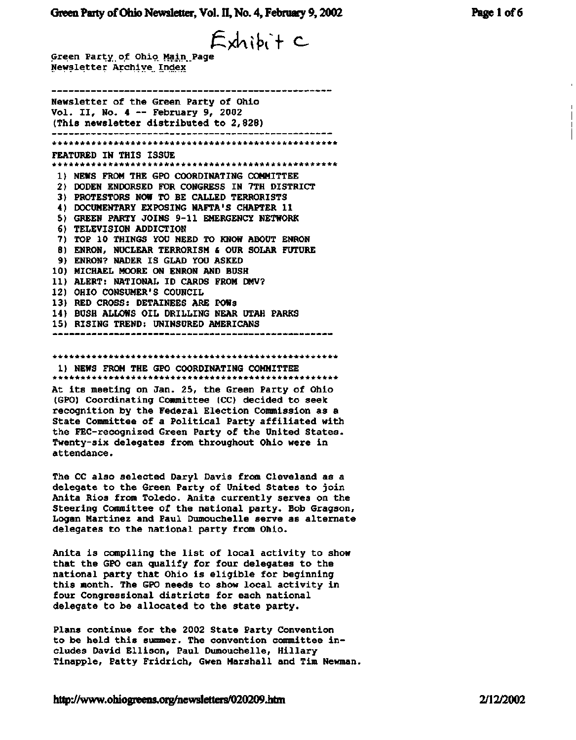Exhibit c

**Green Party.of Ohio Main Page Newsletter Archive Index** 

.................................. ---------------**Newsletter of the Green Party of Ohio Vol. II, No. 4 ~ February 9, 2002 (This newsletter distributed to 2,828)**  \*\*\*\*\*\*\*\*\*\*\*\*\*\*\*\*\*\*\*\*\*\*\*\*\*\*\*\*\*\*\*\*\*\*\*\*\*\*\*\*\*\*\*\*\*\*\*\*\*\*\* **FEATURED IN THIS ISSUE**  \*\*\*\*\*\*\*\*\*\*\*\*\*\*\*\*\*\*\*\*\*\*\*\*\*\*\*\*\*\*\*\*\*\*\*\*\*\*\*\*\*\*\*\*\*\*\*\*\*\*\* **1) NEWS FROM THE GPO COORDINATING COMMITTEE 2) DODEN ENDORSED FOR CONGRESS IN 7TH DISTRICT 3) PROTESTORS NOW TO BE CALLED TERRORISTS 4) DOCUMENTARY EXPOSING NAFTA'S CHAPTER 11 5) GREEN PARTY JOINS 9-11 EMERGENCY NETWORK 6) TELEVISION ADDICTION 7) TOP 10 THINGS YOU NEED TO KNOW ABOUT ENRON 8) ENRON, NUCLEAR TERRORISM & OUR SOLAR FUTURE 9) ENRON? NADER IS GLAD YOU ASKED 10) MICHAEL MOORE ON ENRON AND BUSH 11) ALERT: NATIONAL ID CARDS FROM DMV? 12) OHIO CONSUMER'S COUNCIL 13) RED CROSS: DETAINEES ARE POWs 14) BUSH ALLOWS OIL DRILLING NEAR UTAH PARKS 15) RISING TREND: UNINSURED AMERICANS** 

#### **\*\*\*\*\*\*\*\*\*\*\*\*\*\*\*\*\*\*\*\*\*\*\*\*\*\*\*\*\*\*\*\*\*\*\*\*\*\*\*\*\*\*\*\*\*\*\*\*\*\*\***

**1) NEWS FROM THE GPO COORDINATING COMMITTEE \*\*\*\*\*\*\*\*\*\*\*\*\*\*\*\*\*\*\*\*\*\*\*\*\*\*\*\*\*\*\*\*\*\*\*\*\*\*\*\*\*\*\*\*\*\*\*\*\*\*\*** 

**At its meeting on Jan. 25, the Green Party of Ohio (GPO) Coordinating Committee (CC) decided to seek recognition by the Federal Election Commission as a State Committee of a Political Party affiliated with the FEC-recognized Green Party of the United States. Twenty-six delegates from throughout Ohio were in attendance.** 

**The CC also selected Daryl Davis from Cleveland as a delegate to the Green Party of United States to join Anita Rios from Toledo. Anita currently serves on the Steering Committee of the national party. Bob Gragson, Logan Martinez and Paul Dumouchelle serve as alternate delegates to the national party from Ohio.** 

**Anita is compiling the list of local activity to show that the GPO can qualify for four delegates to the national party that Ohio is eligible for beginning this month. The GPO needs to show local activity in four Congressional districts for each national delegate to be allocated to the state party.** 

**Plans continue for the 2002 State Party Convention to be held this summer. The convention committee includes David Ellison, Paul Dumouchelle, Hillary Tinapple, Patty Fridrich, Gwen Marshall and Tim Newman.**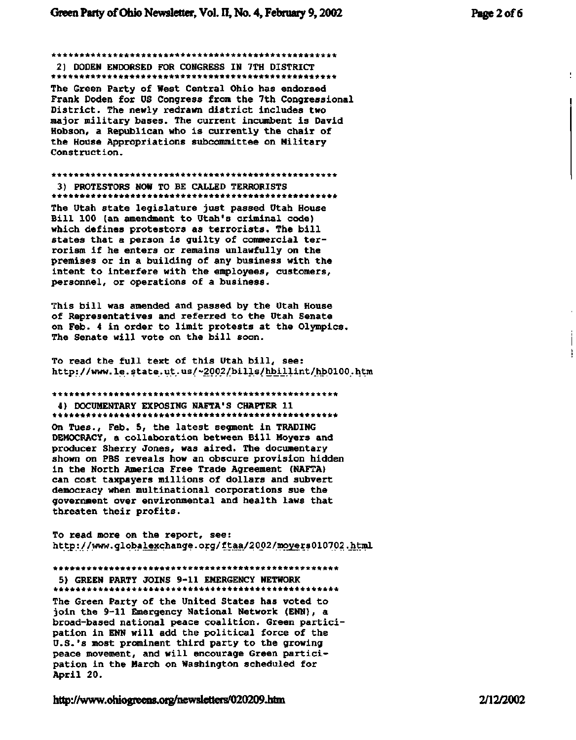**\*\*\*\*\*\*\*\*\*\*\*\*\*\*\*\*\*\*\*\*\*\*\*\*\*\*\*\*\*\*\*\*\*\*\*\*\*\*\*\*\*\*\*\*\*\*\*\*\*\* \* 2) DODEN ENDORSED FOR CONGRESS IN 7TH DISTRICT** 

\*\*\*\*\*\*\*\*\*\*\*\*\*\*\*\*\*\*\*\*\*\*\*\*\*\*\*\*\*\*\*\*\*\*\*\*\*\*\*\*\*\*\*\*\*\*\*\*\*\*\*

**The Green Party of West Central Ohio has endorsed Frank Doden for US Congress from the 7th Congressional District. The newly redrawn district includes two major military bases. The current incumbent is David Hobson, a Republican who is currently the chair of the House Appropriations subcommittee on Military Construction.** 

#### **\*\*\*\*\*\*\*\*\*\*\*\*\*\*\*\*\*\*\*\*\*\*\*\*\*\*\*\*\*\*\*\*\*\*\*\*\*\*\*\*\*\*\*\*\*\*\*\*\*\*\* 3) PROTESTORS NOW TO BE CALLED TERRORISTS**

**\*\*\*\*\*\*\*\*\*\*\*\*\*\*\*\*\*\*\*\*\*\*\*\*\*\*\*\*\*\*\*\*\*\*\*\*\*\*\*\*\*\*\*\*\*\*\*\*\*\*\*** 

**The Utah state legislature just passed Utah House Bill 100 (an amendment to Utah's criminal code) which defines protestors as terrorists. The bill states that a person is guilty of commercial terrorism if he enters or remains unlawfully on the premises or in a building of any business with the intent to interfere with the employees, customers, personnel, or operations of a business.** 

**This bill was amended and passed by the Utah House of Representatives and referred to the Utah Senate on Feb. 4 in order to limit protests at the Olympics. The Senate will vote on the bill soon.** 

**To read the full text of this Utah bill, see: http: //www. le. state.ut.us/~2002/bills/hbillint/hb0100..htm** 

#### **\*\*\*\*\*\*\*\*\*\*\*\*\*\*\*\*\*\*\*\*\*\*\*\*\*\*\*\*\*\*\*\*\*\*\*\*\*\*\*\*\*\*\*\*\*\*\*\*\*\*\***

**4) DOCUMENTARY EXPOSING NAFTA\*S CHAPTER 11 \*\*\*\*\*\*\*\*\*\*\*\*\*\*\*\*\*\*\*\*\*\*\*\*\*\*\*\*\*\*\*\*\*\*\*\*\*\*\*\*\*\*\*\*\*\*\*\*\*\*\* On Tues., Feb. 5, the latest segment in TRADING DEMOCRACY, a collaboration between Bill Moyers and producer Sherry Jones, was aired. The documentary shown on PBS reveals how an obscure provision hidden in the North America Free Trade Agreement (NAFTA) can cost taxpayers millions of dollars and subvert democracy when multinational corporations sue the government over environmental and health laws that threaten their profits.** 

**To read more on the report, see: [http://www.](http://www) globalexchange. orq/ftaa/2002/moyers010702 .\_html** 

#### **\*\*\*\*\*\*\*\*\*\*\*\*\*\*\*\*\*\*\*\*\*\*\*\*\*\*\*\*\*\*\*\*\*\*\*\*\*\*\*\*\*\*\*\*\*\*\*\*\*\*\***

**5) GREEN PARTY JOINS 9-11 EMERGENCY NETWORK \*\*\*\*\*\*\*\*\*\*\*\*\*\*\*\*\*\*\*\*\*\*\*\*\*\*\*\*\*\*\*\*\*\*\*\*\*\*\*\*\*\*\*\*\*\*\*\*\*\*\* The Green Party of the United States has voted to** 

**join the 9-11 Emergency National Network (ENN), a broad-based national peace coalition. Green participation in ENN will add the political force of the U.S.'s most prominent third party to the growing peace movement, and will encourage Green participation in the March on Washington scheduled for April 20.** 

**<http://www.ohiogreens.org/newsletters/020209.htm>2/12/2002** 

÷

ŧ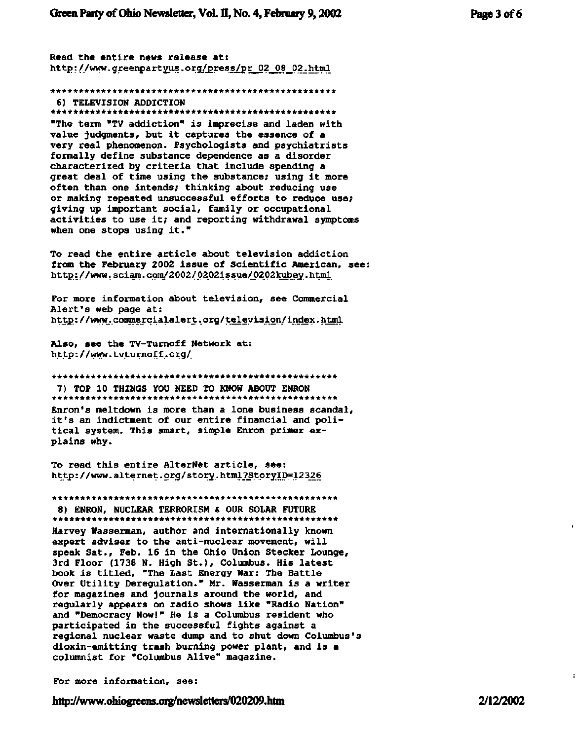**Read the entire news release at: [http://www.greenpartyus.org/press/pr\\_02](http://www.greenpartyus.org/press/pr_02) 08 02.html** 

**\*\*\*\*\*\*\*\*\*\*\*\*\*\*\*\*\*\*\*\*\*\*\*\*\*\*\*\*\*\*\*\*\*\*\*\*\*\*\*\*\*\*\*\*\*\*\*\*\*\*\* 6) TELEVISION ADDICTION**  \*\*\*\*\*\*\*\*\*\*\*\*\*\*\*\*\*\*\*\*\*\*\*\*\*\*\*\*\*\*\*\*\*\*\*\*\*\*\*\*\*\*\*\*\*\*\*\*\*\*\*

**"The term "TV addiction" is imprecise and laden with value judgments, but it captures the essence of a very real phenomenon. Psychologists and psychiatrists formally define substance dependence as a disorder characterized by criteria that include spending a great deal of time using the substance; using it more often than one intends; thinking about reducing use or making repeated unsuccessful efforts to reduce use; giving up important social, family or occupational activities to use it; and reporting withdrawal symptoms when one stops using it."** 

**To read the entire article about television addiction from the February 2002 issue of Scientific American, see: [http://www.](http://www) sciam. com/2002/ 0202issue/0202kubey.htrnl** 

**For more information about television, see Commercial Alert's web page at: <http://www.commercialalert.org/television/index.html>**

**Also, see the TV-Turnoff Network at: <http://www.tvturnoff.org/>**

**\*\*\*\*\*\*\*\*\*\*\*\*\*\*\*\*\*\*\*\*\*\*\*\*\*\*\*\*\*\*\*\*\*\*\*\*\*\*\*\*\*\*\*\*\*\*\*\*\*\*\* 7) TOP 10 THINGS YOU NEED TO KNOW ABOUT ENRON** 

**\*\*\*\*\*\*\*\*\*\*\*\*\*\*\*\*\*\*\*\*\*\*\*\*\*\*\*\*\*\*\*\*\*\*\*\*\*\*\*\*\*\*\*\*\*\*\*\*\*\*\* Enron's meltdown is more than a lone business scandal, it's an indictment of our entire financial and political system. This smart, simple Enron primer explains why.** 

**To read this entire AlterNet article, see: http: //[www.alternet.](http://www.alternet) org/story. html\_?\_Storyip=12326** 

**\*\*\*\*\*\*\*\*\*\*\*\*\*\*\*\*\*\*\*\*\*\*\*\*\*\*\*\*\*\*\*\*\*\*\*\*\*\*\*\*\*\*\*\*\*\*\*\*\*\*\* 8) ENRON, NUCLEAR TERRORISM & OUR SOLAR FUTURE** 

**\*\*\*\*\*\*\*\*\*\*\*\*\*\*\*\*\*\*\*\*\*\*\*\*\*\*\*\*\*\*\*\*\*\*\*\*\*\*\*\*\*\*\*\*\*\*\*\*\*\*\* Harvey Wasserman, author and internationally known expert adviser to the anti-nuclear movement, will speak Sat., Feb. 16 in the Ohio Union Stecker Lounge, 3rd Floor (1738 N. High St.) , Columbus. His latest book is titled, "The Last Energy War: The Battle Over Utility Deregulation." Mr. Wasserman is a writer for magazines and journals around the world, and regularly appears on radio shows like "Radio Nation" and "Democracy Now!" He is a Columbus resident who participated in the successful fights against a regional nuclear waste dump and to shut down Columbus's dioxin-emitting trash burning power plant, and is a columnist for "Columbus Alive" magazine.** 

**For more information, see:** 

**<http://www.ohiogreens.org/newsletters/020209.htm> 2/12/2002**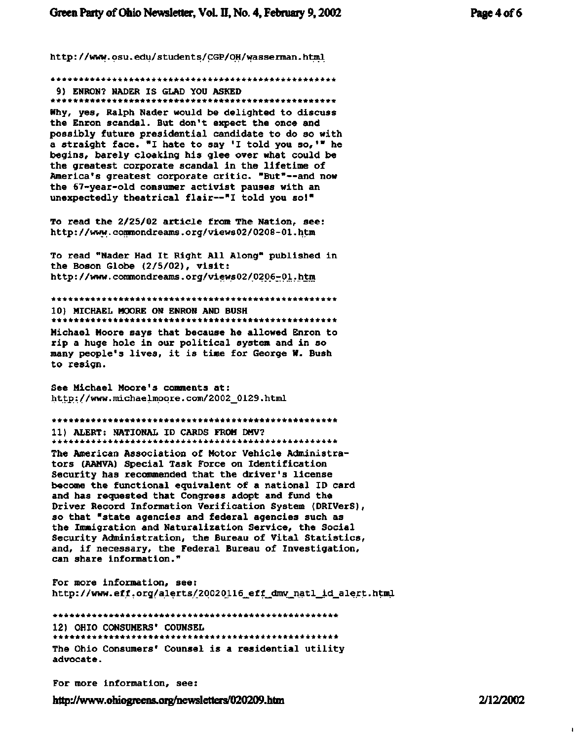**\*\*\*\*\*\*\*\*\*\*\*\*\*\*\*\*\*\*\*\*\*\*\*\*\*\*\*\*\*\*\*\*\*\*\*\*\*\*\*\*\*\*\*\*\*\*\*\*\*\*\* 9) ENRON? NADER IS GLAD YOU ASKED \*\*\*\*\*\*\*\*\*\*\*\*\*\*\*\*\*\*\*\*\*\*\*\*\*\*\*\*\*\*\*\*\*\*\*\*\*\*\*\*\*\*\*\*\*\*\*\*\*\*\*** 

**Why, yes, Ralph Nader would be delighted to discuss the Enron scandal. But don't expect the once and possibly future presidential candidate to do so with a straight face. "I hate to say 'I told you so,\*" he begins, barely cloaking his glee over what could be the greatest corporate scandal in the lifetime of America's greatest corporate critic. "But"—and now the 67-year-old consumer activist pauses with an unexpectedly theatrical flair—"I told you so!"** 

**To read the 2/25/02 article from The Nation, see: <http://www.commondreams.org/views02/0208-01.htm>**

**To read "Nader Had It Right All Along" published in the Boson Globe (2/5/02), visit: <http://www.commondreams.org/views02/0206-01.htm>**

**\*\*\*\*\*\*\*\*\*\*\*\*\*\*\*\*\*\*\*\*\*\*\*\*\*\*\*\*\*\*\*\*\*\*\*\*\*\*\*\*\*\*\*\*\*\*\*\*\*\*\* 10) MICHAEL MOORE ON ENRON AND BUSH \*\*\*\*\*\*\*\*\*\*\*\*\*\*\*\*\*\*\*\*\*\*\*\*\*\*\*\*\*\*\*\*\*\*\*\*\*\*\*\*\*\*\*\*\*\*\*\*\*\*\*** 

**Michael Moore says that because he allowed Enron to rip a huge hole in our political system and in so many people's lives, it is time for George W. Bush to resign.** 

**See Michael Moore's comments at: [http://www.michaelmoqre.com/2002\\_0129.html](http://www.michaelmoqre.com/2002_0129.html)** 

**\*\*\*\*\*\*\*\*\*\*\*\*\*\*\*\*\*\*\*\*\*\*\*\*\*\*\*\*\*\*\*\*\*\*\*\*\*\*\*\*\*\*\*\*\*\*\*\*\*\*\* 11) ALERT: NATIONAL ID CARDS FROM DMV? \*\*\*\*\*\*\*\*\*\*\*\*\*\*\*\*\*\*\*\*\*\*\*\*\*\*\*\*\*\*\*\*\*\*\*\*\*\*\*\*\*\*\*\*\*\*\*\*\*\*\*** 

**The American Association of Motor Vehicle Administrators (AAMVA) Special Task Force on Identification Security has recommended that the driver's license become the functional equivalent of a national ID card and has requested that Congress adopt and fund the Driver Record Information Verification System (DRIVerS), so that "state agencies and federal agencies such as the Immigration and Naturalization Service, the Social Security Administration, the Bureau of Vital Statistics, and, if necessary, the Federal Bureau of Investigation, can share information."** 

**For more information, see: [http://www.eff.org/alerts/20020116\\_eff\\_dmy\\_natl\\_id\\_alert.html](http://www.eff.org/alerts/20020116_eff_dmy_natl_id_alert.html)** 

**\*\*\*\*\*\*\*\*\*\*\*\*\*\*\*\*\*\*\*\*\*\*\*\*\*\*\*\*\*\*\*\*\*\*\*\*\*\*\*\*\*\*\*\*\*\*\*\*\*\*\*** 

**12) OHIO CONSUMERS' COUNSEL** 

**\*\*\*\*\*\*\*\*\*\*\*\*\*\*\*\*\*\*\*\*\*\*\*\*\*\*\*\*\*\*\*\*\*\*\*\*\*\*\*\*\*\*\*\*\*\*\*\*\*\*\* The Ohio Consumers' Counsel is a residential utility advocate.** 

**For more information, see:** 

**<http://www.ohiogreens.org/newsletters/020209.htm>2/12/2002** 

 $\mathbf{I}$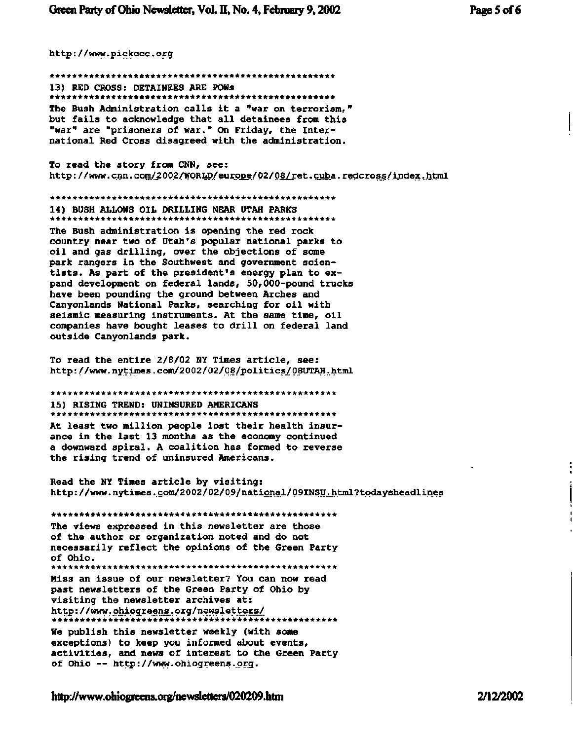<http://www.pickocc.org>

\*\*\*\*\*\*\*\*\*\*\*\*\*\*\*\*\*\*\*\*\*\*\*\*\*\*\*\*\*\*\*\*\*\*\*\*\*\*\*\*\*\*\*\*\*\*\*\*\*\*\* 13) RED CROSS: DETAINEES ARE POWs \*\*\*\*\*\*\*\*\*\*\*\*\*\*\*\*\*\*\*\*\*\*\*\*\*\*\*\*\*\*\*\*\*\*\*\*\*\*\*\*\*\*\*\*\*\*\*\*\*\*\* The Bush Administration calls it a "war on terrorism," but fails to acknowledge that all detainees from this "war" are "prisoners of war." On Friday, the International Red Cross disagreed with the administration.

To read the story from CNN, see: <http://www.cnn.com/2002/WORLD/europe/02/08/ret.cuba.redcross/index.html>

\*\*\*\*\*\*\*\*\*\*\*\*\*\*\*\*\*\*\*\*\*\*\*\*\*\*\*\*\*\*\*\*\*\*\*\*\*\*\*\*\*\*\*\*\*\*\*\*\*\*\*

14) BUSH ALLOWS OIL DRILLING NEAR UTAH PARKS \*\*\*\*\*\*\*\*\*\*\*\*\*\*\*\*\*\*\*\*\*\*\*\*\*\*\*\*\*\*\*\*\*\*\*\*\*\*\*\*\*\*\*\*\*\*\*\*\*\*\* The Bush administration is opening the red rock country near two of Utah's popular national parks to oil and gas drilling, over the objections of some park rangers in the Southwest and government scientists. As part of the president's energy plan to expand development on federal lands, 50,000-pound trucks have been pounding the ground between Arches and Canyonlands National Parks, searching for oil with seismic measuring instruments. At the same time, oil companies have bought leases to drill on federal land outside Canyonlands park.

To read the entire 2/8/02 NY Times article, see: <http://www.nytimes.com/2002/02/08/politicsy08UTAH.html>

\*\*\*\*\*\*\*\*\*\*\*\*\*\*\*\*\*\*\*\*\*\*\*\*\*\*\*\*\*\*\*\*\*\*\*\*\*\*\*\*\*\*\*\*\*\*\*\*\*\*\*

15) RISING TREND: UNINSURED AMERICANS \*\*\*\*\*\*\*\*\*\*\*\*\*\*\*\*\*\*\*\*\*\*\*\*\*\*\*\*\*\*\*\*\*\*\*\*\*\*\*\*\*\*\*\*\*\*\*\*\*\*\*

At least two million people lost their health insurance in the last 13 months as the economy continued a downward spiral. A coalition has formed to reverse the rising trend of uninsured Americans.

Read the NY Times article by visiting: http://www.nytimes.com/2002/02/09/national/09INSU.html?todaysheadlines

\*\*\*\*\*\*\*\*\*\*\*\*\*\*\*\*\*\*\*\*\*\*\*\*\*\*\*\*\*\*\*\*\*\*\*\*\*\*\*\*\*\*\*\*\*\*\*\*\*\*\* The views expressed in this newsletter are those of the author or organization noted and do not necessarily reflect the opinions of the Green Party of Ohio. \*\*\*\*\*\*\*\*\*\*\*\*\*\*\*\*\*\*\*\*\*\*\*\*\*\*\*\*\*\*\*\*\*\*\*\*\*\*\*\*\*\*\*\*\*\*\*\*\*\*\*

Miss an issue of our newsletter? You can now read past newsletters of the Green Party of Ohio by visiting the newsletter archives at: <http://www.ohiogreens.org/newsletters/> \*\*\*\*\*\*\*\*\*\*\*\*\*\*\*\*\*\*\*\*\*\*\*\*\*\*\*\*\*\*\*\*\*\*\*\*\*\*\*\*\*\*\*\*\*\*\*\*\*\*\*

We publish this newsletter weekly (with some exceptions) to keep you informed about events, **activities, and news of** interest **to the Green Party**  of Ohio — [http://www.ohiogreens.prg.](http://www.ohiogreens.prg)

**<http://www.ohiogreens.org/newsletters/020209.htm>2/12/2002** 

 $\ddot{.}$